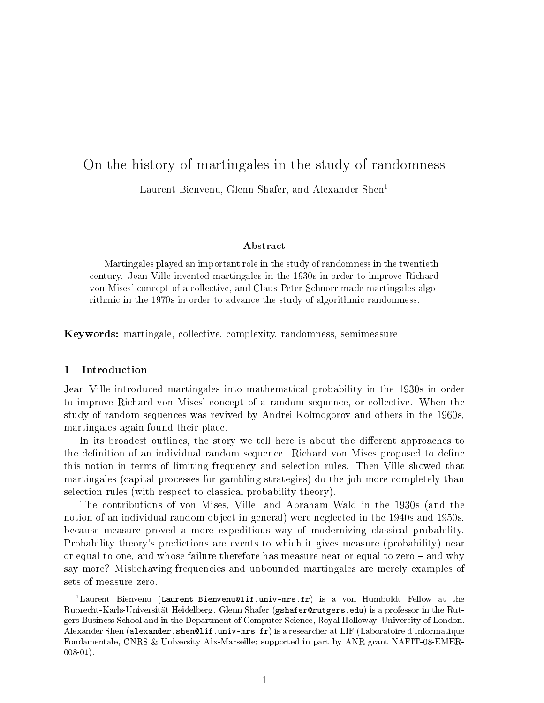# On the history of martingales in the study of randomness

Laurent Bienvenu, Glenn Shafer, and Alexander Shen<sup>1</sup>

#### ${\bf Abstract}$

Martingales played an important role in the study of randomness in the twentieth century. Jean Ville invented martingales in the 1930s in order to improve Richard von Mises' concept of a collective, and Claus-Peter Schnorr made martingales algorithmic in the 1970s in order to advance the study of algorithmic randomness.

Keywords: martingale, collective, complexity, randomness, semimeasure

# 1 Introduction

Jean Ville introduced martingales into mathematical probability in the 1930s in order to improve Richard von Mises' concept of a random sequence, or collective. When the study of random sequences was revived by Andrei Kolmogorov and others in the 1960s, martingales again found their place.

In its broadest outlines, the story we tell here is about the different approaches to the definition of an individual random sequence. Richard von Mises proposed to define this notion in terms of limiting frequency and selection rules. Then Ville showed that martingales (capital processes for gambling strategies) do the job more completely than selection rules (with respect to classical probability theory).

The contributions of von Mises, Ville, and Abraham Wald in the 1930s (and the notion of an individual random object in general) were neglected in the 1940s and 1950s, because measure proved a more expeditious way of modernizing classical probability. Probability theory's predictions are events to which it gives measure (probability) near or equal to one, and whose failure therefore has measure near or equal to zero  $-$  and why say more? Misbehaving frequencies and unbounded martingales are merely examples of sets of measure zero.

<sup>&</sup>lt;sup>1</sup>Laurent Bienvenu (Laurent.Bienvenu@lif.univ-mrs.fr) is a von Humboldt Fellow at the Ruprecht-Karls-Universitat Heidelberg. Glenn Shafer (gshafer@rutgers.edu) is a professor in the Rutgers Business School and in the Department of Computer Science, Royal Holloway, University of London. Alexander Shen (alexander.shen@lif.univ-mrs.fr) is a researcher at LIF (Laboratoire d'Informatique Fondamentale, CNRS & University Aix-Marseille; supported in part by ANR grant NAFIT-08-EMER-008-01).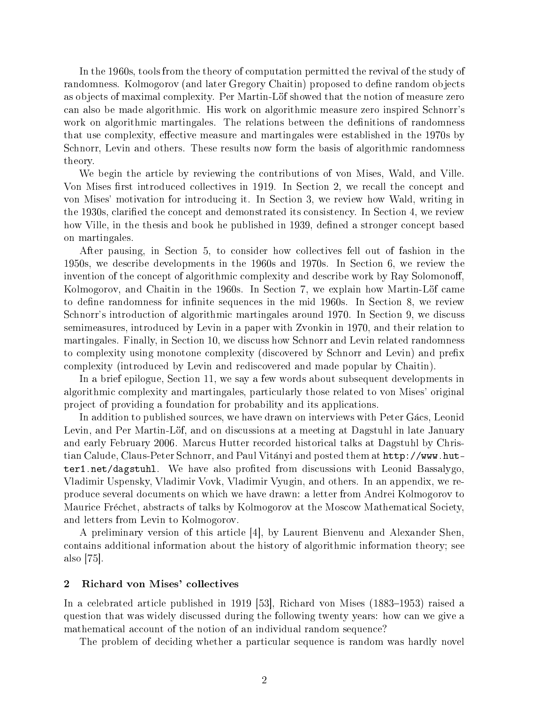In the 1960s, tools from the theory of computation permitted the revival of the study of randomness. Kolmogorov (and later Gregory Chaitin) proposed to define random objects as objects of maximal complexity. Per Martin-Löf showed that the notion of measure zero can also be made algorithmic. His work on algorithmic measure zero inspired Schnorr's work on algorithmic martingales. The relations between the definitions of randomness that use complexity, effective measure and martingales were established in the 1970s by Schnorr, Levin and others. These results now form the basis of algorithmic randomness theory.

We begin the article by reviewing the contributions of von Mises, Wald, and Ville. Von Mises first introduced collectives in 1919. In Section 2, we recall the concept and von Mises' motivation for introducing it. In Section 3, we review how Wald, writing in the 1930s, clarified the concept and demonstrated its consistency. In Section 4, we review how Ville, in the thesis and book he published in 1939, defined a stronger concept based on martingales.

After pausing, in Section 5, to consider how collectives fell out of fashion in the 1950s, we describe developments in the 1960s and 1970s. In Section 6, we review the invention of the concept of algorithmic complexity and describe work by Ray Solomonoff, Kolmogorov, and Chaitin in the 1960s. In Section 7, we explain how Martin-Löf came to define randomness for infinite sequences in the mid 1960s. In Section 8, we review Schnorr's introduction of algorithmic martingales around 1970. In Section 9, we discuss semimeasures, introduced by Levin in a paper with Zvonkin in 1970, and their relation to martingales. Finally, in Section 10, we discuss how Schnorr and Levin related randomness to complexity using monotone complexity (discovered by Schnorr and Levin) and prefix complexity (introduced by Levin and rediscovered and made popular by Chaitin).

In a brief epilogue, Section 11, we say a few words about subsequent developments in algorithmic complexity and martingales, particularly those related to von Mises' original project of providing a foundation for probability and its applications.

In addition to published sources, we have drawn on interviews with Peter Gacs, Leonid Levin, and Per Martin-Löf, and on discussions at a meeting at Dagstuhl in late January and early February 2006. Marcus Hutter recorded historical talks at Dagstuhl by Christian Calude, Claus-Peter Schnorr, and Paul Vitanyi and posted them at http://www.hutter1.net/dagstuhl. We have also profited from discussions with Leonid Bassalygo. Vladimir Uspensky, Vladimir Vovk, Vladimir Vyugin, and others. In an appendix, we reproduce several documents on which we have drawn: a letter from Andrei Kolmogorov to Maurice Frechet, abstracts of talks by Kolmogorov at the Moscow Mathematical Society, and letters from Levin to Kolmogorov.

A preliminary version of this article [4], by Laurent Bienvenu and Alexander Shen, contains additional information about the history of algorithmic information theory; see also [75].

#### 2 Richard von Mises' collectives

In a celebrated article published in 1919  $[53]$ , Richard von Mises  $(1883-1953)$  raised a question that was widely discussed during the following twenty years: how can we give a mathematical account of the notion of an individual random sequence?

The problem of deciding whether a particular sequence is random was hardly novel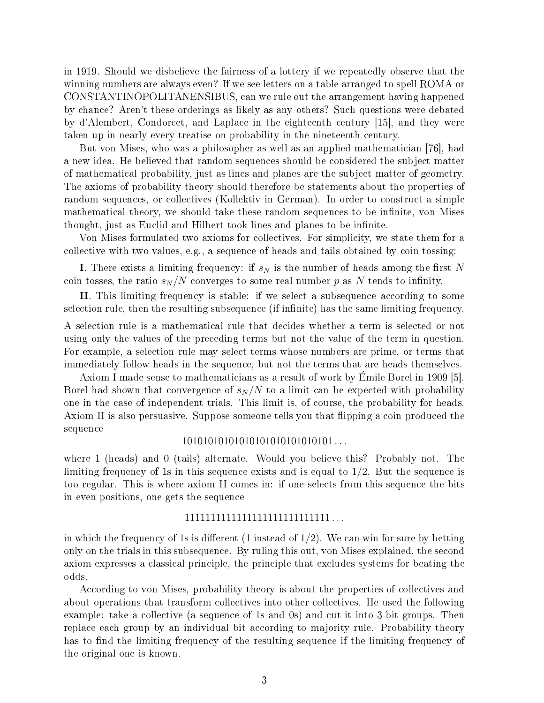in 1919. Should we disbelieve the fairness of a lottery if we repeatedly observe that the winning numbers are always even? If we see letters on a table arranged to spell ROMA or CONSTANTINOPOLITANENSIBUS, can we rule out the arrangement having happened by chance? Aren't these orderings as likely as any others? Such questions were debated by d'Alembert, Condorcet, and Laplace in the eighteenth century [15], and they were taken up in nearly every treatise on probability in the nineteenth century.

But von Mises, who was a philosopher as well as an applied mathematician [76], had a new idea. He believed that random sequences should be considered the subject matter of mathematical probability, just as lines and planes are the subject matter of geometry. The axioms of probability theory should therefore be statements about the properties of random sequences, or collectives (Kollektiv in German). In order to construct a simple mathematical theory, we should take these random sequences to be infinite, von Mises thought, just as Euclid and Hilbert took lines and planes to be infinite.

Von Mises formulated two axioms for collectives. For simplicity, we state them for a collective with two values, e.g., a sequence of heads and tails obtained by coin tossing:

I. There exists a limiting frequency: if  $s_N$  is the number of heads among the first N coin tosses, the ratio  $s_N/N$  converges to some real number p as N tends to infinity.

II. This limiting frequency is stable: if we select a subsequence according to some selection rule, then the resulting subsequence (if infinite) has the same limiting frequency.

A selection rule is a mathematical rule that decides whether a term is selected or not using only the values of the preceding terms but not the value of the term in question. For example, a selection rule may select terms whose numbers are prime, or terms that immediately follow heads in the sequence, but not the terms that are heads themselves.

Axiom I made sense to mathematicians as a result of work by Emile Borel in 1909 [5]. Borel had shown that convergence of  $s_N/N$  to a limit can be expected with probability one in the case of independent trials. This limit is, of course, the probability for heads. Axiom II is also persuasive. Suppose someone tells you that flipping a coin produced the sequence

# 10101010101010101010101010101 . . .

where 1 (heads) and 0 (tails) alternate. Would you believe this? Probably not. The limiting frequency of 1s in this sequence exists and is equal to 1/2. But the sequence is too regular. This is where axiom II comes in: if one selects from this sequence the bits in even positions, one gets the sequence

# 1111111111111111111111111111 . . .

in which the frequency of 1s is different  $(1 \text{ instead of } 1/2)$ . We can win for sure by betting only on the trials in this subsequence. By ruling this out, von Mises explained, the second axiom expresses a classical principle, the principle that excludes systems for beating the odds.

According to von Mises, probability theory is about the properties of collectives and about operations that transform collectives into other collectives. He used the following example: take a collective (a sequence of 1s and 0s) and cut it into 3-bit groups. Then replace each group by an individual bit according to majority rule. Probability theory has to find the limiting frequency of the resulting sequence if the limiting frequency of the original one is known.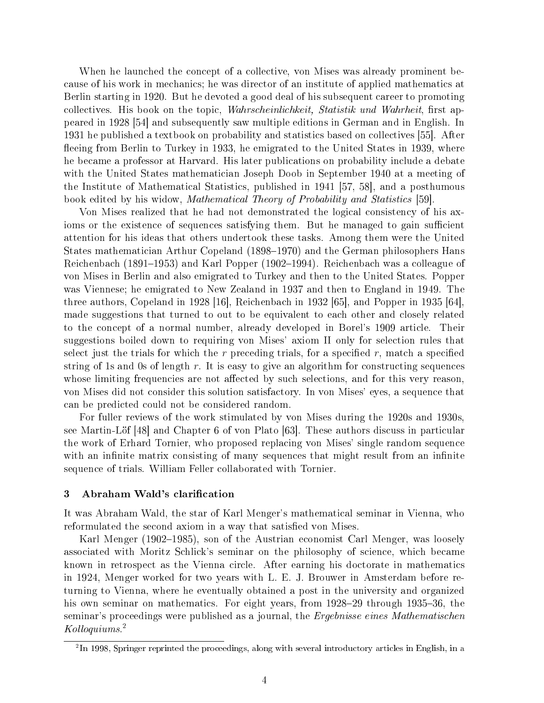When he launched the concept of a collective, von Mises was already prominent because of his work in mechanics; he was director of an institute of applied mathematics at Berlin starting in 1920. But he devoted a good deal of his subsequent career to promoting collectives. His book on the topic, *Wahrscheinlichkeit, Statistik und Wahrheit*, first appeared in 1928 [54] and subsequently saw multiple editions in German and in English. In 1931 he published a textbook on probability and statistics based on collectives [55]. After fleeing from Berlin to Turkey in 1933, he emigrated to the United States in 1939, where he became a professor at Harvard. His later publications on probability include a debate with the United States mathematician Joseph Doob in September 1940 at a meeting of the Institute of Mathematical Statistics, published in 1941 [57, 58], and a posthumous book edited by his widow, Mathematical Theory of Probability and Statistics [59].

Von Mises realized that he had not demonstrated the logical consistency of his axioms or the existence of sequences satisfying them. But he managed to gain sufficient attention for his ideas that others undertook these tasks. Among them were the United States mathematician Arthur Copeland (1898–1970) and the German philosophers Hans Reichenbach (1891–1953) and Karl Popper (1902–1994). Reichenbach was a colleague of von Mises in Berlin and also emigrated to Turkey and then to the United States. Popper was Viennese; he emigrated to New Zealand in 1937 and then to England in 1949. The three authors, Copeland in 1928 [16], Reichenbach in 1932 [65], and Popper in 1935 [64], made suggestions that turned to out to be equivalent to each other and closely related to the concept of a normal number, already developed in Borel's 1909 article. Their suggestions boiled down to requiring von Mises' axiom II only for selection rules that select just the trials for which the r preceding trials, for a specified r, match a specified string of 1s and 0s of length  $r$ . It is easy to give an algorithm for constructing sequences whose limiting frequencies are not affected by such selections, and for this very reason. von Mises did not consider this solution satisfactory. In von Mises' eyes, a sequence that can be predicted could not be considered random.

For fuller reviews of the work stimulated by von Mises during the 1920s and 1930s, see Martin-Lof [48] and Chapter 6 of von Plato [63]. These authors discuss in particular the work of Erhard Tornier, who proposed replacing von Mises' single random sequence with an infinite matrix consisting of many sequences that might result from an infinite sequence of trials. William Feller collaborated with Tornier.

#### 3 Abraham Wald's clarification

It was Abraham Wald, the star of Karl Menger's mathematical seminar in Vienna, who reformulated the second axiom in a way that satisfied von Mises.

Karl Menger (1902–1985), son of the Austrian economist Carl Menger, was loosely associated with Moritz Schlick's seminar on the philosophy of science, which became known in retrospect as the Vienna circle. After earning his doctorate in mathematics in 1924, Menger worked for two years with L. E. J. Brouwer in Amsterdam before returning to Vienna, where he eventually obtained a post in the university and organized his own seminar on mathematics. For eight years, from  $1928-29$  through  $1935-36$ , the seminar's proceedings were published as a journal, the Ergebnisse eines Mathematischen Kolloquiums. 2

 $^{2}$ In 1998, Springer reprinted the proceedings, along with several introductory articles in English, in a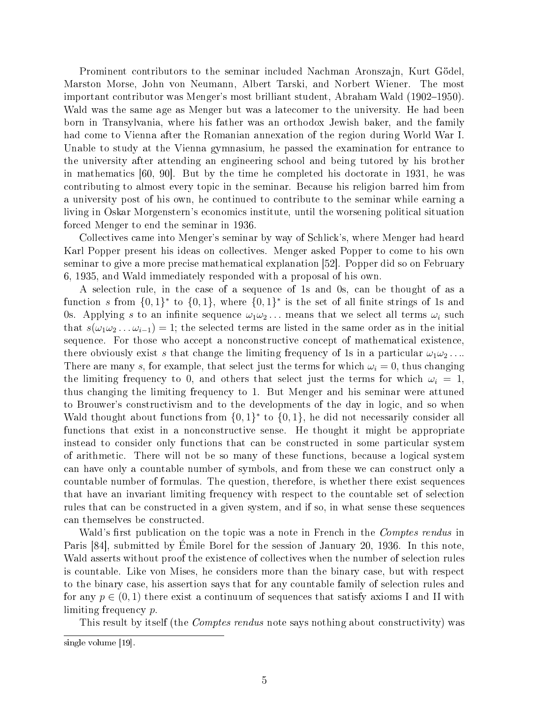Prominent contributors to the seminar included Nachman Aronszajn, Kurt Gödel. Marston Morse, John von Neumann, Albert Tarski, and Norbert Wiener. The most important contributor was Menger's most brilliant student, Abraham Wald (1902–1950). Wald was the same age as Menger but was a latecomer to the university. He had been born in Transylvania, where his father was an orthodox Jewish baker, and the family had come to Vienna after the Romanian annexation of the region during World War I. Unable to study at the Vienna gymnasium, he passed the examination for entrance to the university after attending an engineering school and being tutored by his brother in mathematics [60, 90]. But by the time he completed his doctorate in 1931, he was contributing to almost every topic in the seminar. Because his religion barred him from a university post of his own, he continued to contribute to the seminar while earning a living in Oskar Morgenstern's economics institute, until the worsening political situation forced Menger to end the seminar in 1936.

Collectives came into Menger's seminar by way of Schlick's, where Menger had heard Karl Popper present his ideas on collectives. Menger asked Popper to come to his own seminar to give a more precise mathematical explanation [52]. Popper did so on February 6, 1935, and Wald immediately responded with a proposal of his own.

A selection rule, in the case of a sequence of 1s and 0s, can be thought of as a function s from  $\{0,1\}^*$  to  $\{0,1\}$ , where  $\{0,1\}^*$  is the set of all finite strings of 1s and 0s. Applying s to an infinite sequence  $\omega_1\omega_2 \dots$  means that we select all terms  $\omega_i$  such that  $s(\omega_1\omega_2\dots\omega_{i-1})=1$ ; the selected terms are listed in the same order as in the initial sequence. For those who accept a nonconstructive concept of mathematical existence, there obviously exist s that change the limiting frequency of 1s in a particular  $\omega_1 \omega_2 \dots$ There are many s, for example, that select just the terms for which  $\omega_i = 0$ , thus changing the limiting frequency to 0, and others that select just the terms for which  $\omega_i = 1$ , thus changing the limiting frequency to 1. But Menger and his seminar were attuned to Brouwer's constructivism and to the developments of the day in logic, and so when Wald thought about functions from  $\{0,1\}^*$  to  $\{0,1\}$ , he did not necessarily consider all functions that exist in a nonconstructive sense. He thought it might be appropriate instead to consider only functions that can be constructed in some particular system of arithmetic. There will not be so many of these functions, because a logical system can have only a countable number of symbols, and from these we can construct only a countable number of formulas. The question, therefore, is whether there exist sequences that have an invariant limiting frequency with respect to the countable set of selection rules that can be constructed in a given system, and if so, in what sense these sequences can themselves be constructed.

Wald's first publication on the topic was a note in French in the *Comptes rendus* in Paris [84], submitted by Emile Borel for the session of January 20, 1936. In this note, Wald asserts without proof the existence of collectives when the number of selection rules is countable. Like von Mises, he considers more than the binary case, but with respect to the binary case, his assertion says that for any countable family of selection rules and for any  $p \in (0, 1)$  there exist a continuum of sequences that satisfy axioms I and II with limiting frequency p.

This result by itself (the *Comptes rendus* note says nothing about constructivity) was

single volume [19].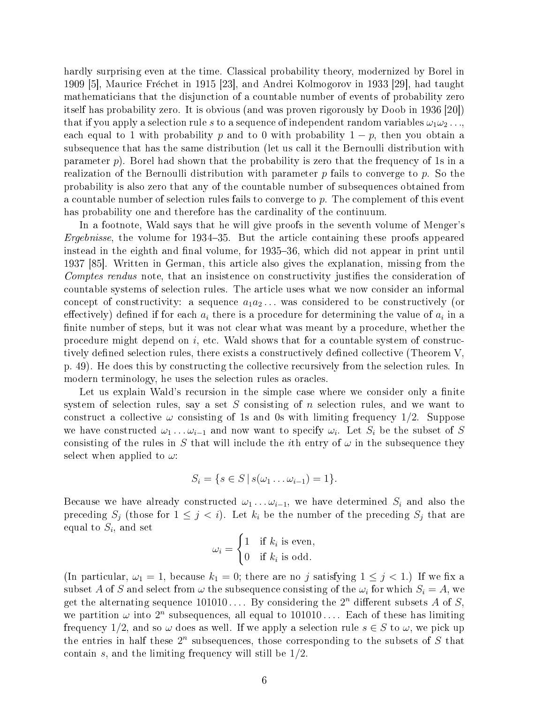hardly surprising even at the time. Classical probability theory, modernized by Borel in 1909 [5], Maurice Frechet in 1915 [23], and Andrei Kolmogorov in 1933 [29], had taught mathematicians that the disjunction of a countable number of events of probability zero itself has probability zero. It is obvious (and was proven rigorously by Doob in 1936 [20]) that if you apply a selection rule s to a sequence of independent random variables  $\omega_1 \omega_2 \ldots$ each equal to 1 with probability p and to 0 with probability  $1 - p$ , then you obtain a subsequence that has the same distribution (let us call it the Bernoulli distribution with parameter  $p$ ). Borel had shown that the probability is zero that the frequency of 1s in a realization of the Bernoulli distribution with parameter  $p$  fails to converge to  $p$ . So the probability is also zero that any of the countable number of subsequences obtained from a countable number of selection rules fails to converge to p. The complement of this event has probability one and therefore has the cardinality of the continuum.

In a footnote, Wald says that he will give proofs in the seventh volume of Menger's Ergebnisse, the volume for  $1934-35$ . But the article containing these proofs appeared instead in the eighth and final volume, for 1935–36, which did not appear in print until 1937 [85]. Written in German, this article also gives the explanation, missing from the Comptes rendus note, that an insistence on constructivity justifies the consideration of countable systems of selection rules. The article uses what we now consider an informal concept of constructivity: a sequence  $a_1a_2...$  was considered to be constructively (or effectively) defined if for each  $a_i$  there is a procedure for determining the value of  $a_i$  in a finite number of steps, but it was not clear what was meant by a procedure, whether the procedure might depend on  $i$ , etc. Wald shows that for a countable system of constructively defined selection rules, there exists a constructively defined collective (Theorem  $V$ , p. 49). He does this by constructing the collective recursively from the selection rules. In modern terminology, he uses the selection rules as oracles.

Let us explain Wald's recursion in the simple case where we consider only a finite system of selection rules, say a set  $S$  consisting of n selection rules, and we want to construct a collective  $\omega$  consisting of 1s and 0s with limiting frequency 1/2. Suppose we have constructed  $\omega_1 \ldots \omega_{i-1}$  and now want to specify  $\omega_i$ . Let  $S_i$  be the subset of S consisting of the rules in S that will include the *i*th entry of  $\omega$  in the subsequence they select when applied to  $\omega$ :

$$
S_i = \{ s \in S \, | \, s(\omega_1 \dots \omega_{i-1}) = 1 \}.
$$

Because we have already constructed  $\omega_1 \dots \omega_{i-1}$ , we have determined  $S_i$  and also the preceding  $S_j$  (those for  $1 \leq j \leq i$ ). Let  $k_i$  be the number of the preceding  $S_j$  that are equal to  $S_i$ , and set  $\overline{a}$ 

$$
\omega_i = \begin{cases} 1 & \text{if } k_i \text{ is even,} \\ 0 & \text{if } k_i \text{ is odd.} \end{cases}
$$

(In particular,  $\omega_1 = 1$ , because  $k_1 = 0$ ; there are no j satisfying  $1 \leq j < 1$ .) If we fix a subset A of S and select from  $\omega$  the subsequence consisting of the  $\omega_i$  for which  $S_i=A$ , we get the alternating sequence  $101010...$  By considering the  $2^n$  different subsets A of S, we partition  $\omega$  into  $2^n$  subsequences, all equal to  $101010...$  Each of these has limiting frequency 1/2, and so  $\omega$  does as well. If we apply a selection rule  $s \in S$  to  $\omega$ , we pick up the entries in half these  $2^n$  subsequences, those corresponding to the subsets of S that contain  $s$ , and the limiting frequency will still be  $1/2$ .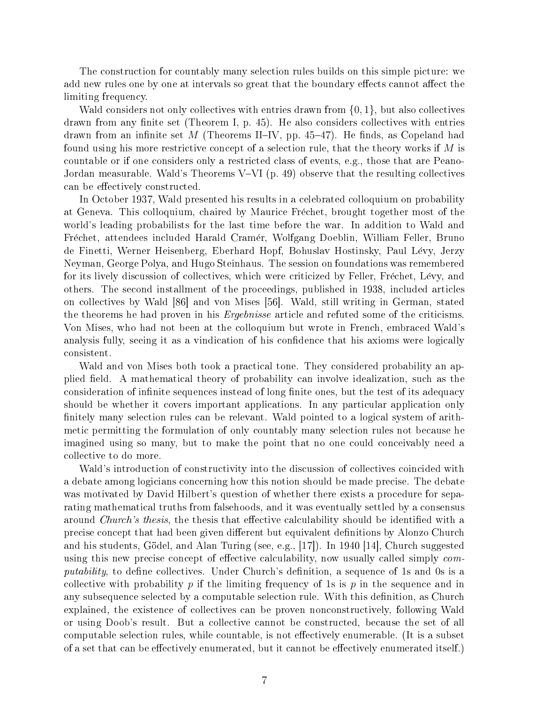The construction for countably many selection rules builds on this simple picture: we add new rules one by one at intervals so great that the boundary effects cannot affect the limiting frequency.

Wald considers not only collectives with entries drawn from  $\{0, 1\}$ , but also collectives drawn from any finite set (Theorem I, p.  $45$ ). He also considers collectives with entries drawn from an infinite set M (Theorems II–IV, pp. 45–47). He finds, as Copeland had found using his more restrictive concept of a selection rule, that the theory works if  $M$  is countable or if one considers only a restricted class of events, e.g., those that are Peano-Jordan measurable. Wald's Theorems V–VI (p. 49) observe that the resulting collectives can be effectively constructed.

In October 1937, Wald presented his results in a celebrated colloquium on probability at Geneva. This colloquium, chaired by Maurice Frechet, brought together most of the world's leading probabilists for the last time before the war. In addition to Wald and Frechet, attendees included Harald Cramer, Wolfgang Doeblin, William Feller, Bruno de Finetti, Werner Heisenberg, Eberhard Hopf, Bohuslav Hostinsky, Paul Levy, Jerzy Neyman, George Polya, and Hugo Steinhaus. The session on foundations was remembered for its lively discussion of collectives, which were criticized by Feller, Frechet, Levy, and others. The second installment of the proceedings, published in 1938, included articles on collectives by Wald [86] and von Mises [56]. Wald, still writing in German, stated the theorems he had proven in his Ergebnisse article and refuted some of the criticisms. Von Mises, who had not been at the colloquium but wrote in French, embraced Wald's analysis fully, seeing it as a vindication of his confidence that his axioms were logically consistent.

Wald and von Mises both took a practical tone. They considered probability an applied field. A mathematical theory of probability can involve idealization, such as the consideration of infinite sequences instead of long finite ones, but the test of its adequacy should be whether it covers important applications. In any particular application only finitely many selection rules can be relevant. Wald pointed to a logical system of arithmetic permitting the formulation of only countably many selection rules not because he imagined using so many, but to make the point that no one could conceivably need a collective to do more.

Wald's introduction of constructivity into the discussion of collectives coincided with a debate among logicians concerning how this notion should be made precise. The debate was motivated by David Hilbert's question of whether there exists a procedure for separating mathematical truths from falsehoods, and it was eventually settled by a consensus around *Church's thesis*, the thesis that effective calculability should be identified with a precise concept that had been given dierent but equivalent denitions by Alonzo Church and his students, Gödel, and Alan Turing (see, e.g.,  $|17|$ ). In 1940  $|14|$ , Church suggested using this new precise concept of effective calculability, now usually called simply  $com$ putability, to define collectives. Under Church's definition, a sequence of 1s and 0s is a collective with probability p if the limiting frequency of 1s is p in the sequence and in any subsequence selected by a computable selection rule. With this definition, as Church explained, the existence of collectives can be proven nonconstructively, following Wald or using Doob's result. But a collective cannot be constructed, because the set of all computable selection rules, while countable, is not effectively enumerable. (It is a subset of a set that can be effectively enumerated, but it cannot be effectively enumerated itself.)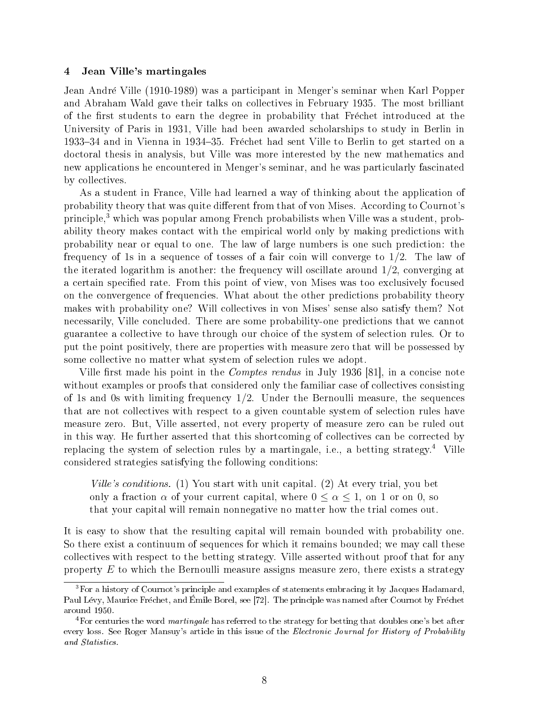# 4 Jean Ville's martingales

Jean Andre Ville (1910-1989) was a participant in Menger's seminar when Karl Popper and Abraham Wald gave their talks on collectives in February 1935. The most brilliant of the first students to earn the degree in probability that Frechet introduced at the University of Paris in 1931, Ville had been awarded scholarships to study in Berlin in 193334 and in Vienna in 193435. Frechet had sent Ville to Berlin to get started on a doctoral thesis in analysis, but Ville was more interested by the new mathematics and new applications he encountered in Menger's seminar, and he was particularly fascinated by collectives.

As a student in France, Ville had learned a way of thinking about the application of probability theory that was quite different from that of von Mises. According to Cournot's principle,<sup>3</sup> which was popular among French probabilists when Ville was a student, probability theory makes contact with the empirical world only by making predictions with probability near or equal to one. The law of large numbers is one such prediction: the frequency of 1s in a sequence of tosses of a fair coin will converge to 1/2. The law of the iterated logarithm is another: the frequency will oscillate around  $1/2$ , converging at a certain specified rate. From this point of view, von Mises was too exclusively focused on the convergence of frequencies. What about the other predictions probability theory makes with probability one? Will collectives in von Mises' sense also satisfy them? Not necessarily, Ville concluded. There are some probability-one predictions that we cannot guarantee a collective to have through our choice of the system of selection rules. Or to put the point positively, there are properties with measure zero that will be possessed by some collective no matter what system of selection rules we adopt.

Ville first made his point in the *Comptes rendus* in July 1936 [81], in a concise note without examples or proofs that considered only the familiar case of collectives consisting of 1s and 0s with limiting frequency  $1/2$ . Under the Bernoulli measure, the sequences that are not collectives with respect to a given countable system of selection rules have measure zero. But, Ville asserted, not every property of measure zero can be ruled out in this way. He further asserted that this shortcoming of collectives can be corrected by replacing the system of selection rules by a martingale, i.e., a betting strategy.<sup>4</sup> Ville considered strategies satisfying the following conditions:

Ville's conditions. (1) You start with unit capital. (2) At every trial, you bet only a fraction  $\alpha$  of your current capital, where  $0 \leq \alpha \leq 1$ , on 1 or on 0, so that your capital will remain nonnegative no matter how the trial comes out.

It is easy to show that the resulting capital will remain bounded with probability one. So there exist a continuum of sequences for which it remains bounded; we may call these collectives with respect to the betting strategy. Ville asserted without proof that for any property  $E$  to which the Bernoulli measure assigns measure zero, there exists a strategy

<sup>3</sup>For a history of Cournot's principle and examples of statements embracing it by Jacques Hadamard, Paul Lévy, Maurice Fréchet, and Émile Borel, see [72]. The principle was named after Cournot by Fréchet around 1950.

 $4$ For centuries the word *martingale* has referred to the strategy for betting that doubles one's bet after every loss. See Roger Mansuy's article in this issue of the *Electronic Journal for History of Probability* and Statistics.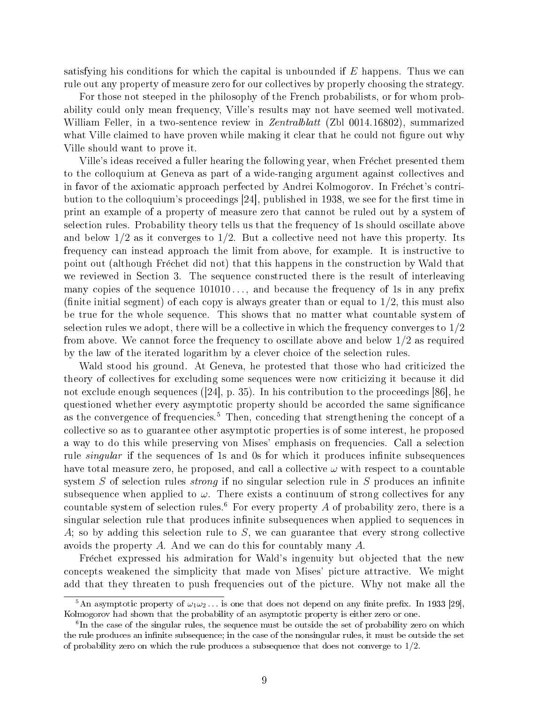satisfying his conditions for which the capital is unbounded if  $E$  happens. Thus we can rule out any property of measure zero for our collectives by properly choosing the strategy.

For those not steeped in the philosophy of the French probabilists, or for whom probability could only mean frequency, Ville's results may not have seemed well motivated. William Feller, in a two-sentence review in *Zentralblatt* (Zbl 0014.16802), summarized what Ville claimed to have proven while making it clear that he could not figure out why Ville should want to prove it.

Ville's ideas received a fuller hearing the following year, when Frechet presented them to the colloquium at Geneva as part of a wide-ranging argument against collectives and in favor of the axiomatic approach perfected by Andrei Kolmogorov. In Frechet's contribution to the colloquium's proceedings [24], published in 1938, we see for the first time in print an example of a property of measure zero that cannot be ruled out by a system of selection rules. Probability theory tells us that the frequency of 1s should oscillate above and below  $1/2$  as it converges to  $1/2$ . But a collective need not have this property. Its frequency can instead approach the limit from above, for example. It is instructive to point out (although Fréchet did not) that this happens in the construction by Wald that we reviewed in Section 3. The sequence constructed there is the result of interleaving many copies of the sequence  $101010...$ , and because the frequency of 1s in any prefix (finite initial segment) of each copy is always greater than or equal to  $1/2$ , this must also be true for the whole sequence. This shows that no matter what countable system of selection rules we adopt, there will be a collective in which the frequency converges to  $1/2$ from above. We cannot force the frequency to oscillate above and below 1/2 as required by the law of the iterated logarithm by a clever choice of the selection rules.

Wald stood his ground. At Geneva, he protested that those who had criticized the theory of collectives for excluding some sequences were now criticizing it because it did not exclude enough sequences ([24], p. 35). In his contribution to the proceedings [86], he questioned whether every asymptotic property should be accorded the same signicance as the convergence of frequencies.<sup>5</sup> Then, conceding that strengthening the concept of a collective so as to guarantee other asymptotic properties is of some interest, he proposed a way to do this while preserving von Mises' emphasis on frequencies. Call a selection rule *singular* if the sequences of 1s and 0s for which it produces infinite subsequences have total measure zero, he proposed, and call a collective  $\omega$  with respect to a countable system S of selection rules *strong* if no singular selection rule in S produces an infinite subsequence when applied to  $\omega$ . There exists a continuum of strong collectives for any countable system of selection rules.<sup>6</sup> For every property A of probability zero, there is a singular selection rule that produces infinite subsequences when applied to sequences in A; so by adding this selection rule to S, we can guarantee that every strong collective avoids the property A. And we can do this for countably many A.

Frechet expressed his admiration for Wald's ingenuity but objected that the new concepts weakened the simplicity that made von Mises' picture attractive. We might add that they threaten to push frequencies out of the picture. Why not make all the

<sup>&</sup>lt;sup>5</sup>An asymptotic property of  $\omega_1\omega_2$ ... is one that does not depend on any finite prefix. In 1933 [29], Kolmogorov had shown that the probability of an asymptotic property is either zero or one.

 $6$ In the case of the singular rules, the sequence must be outside the set of probability zero on which the rule produces an infinite subsequence; in the case of the nonsingular rules, it must be outside the set of probability zero on which the rule produces a subsequence that does not converge to  $1/2$ .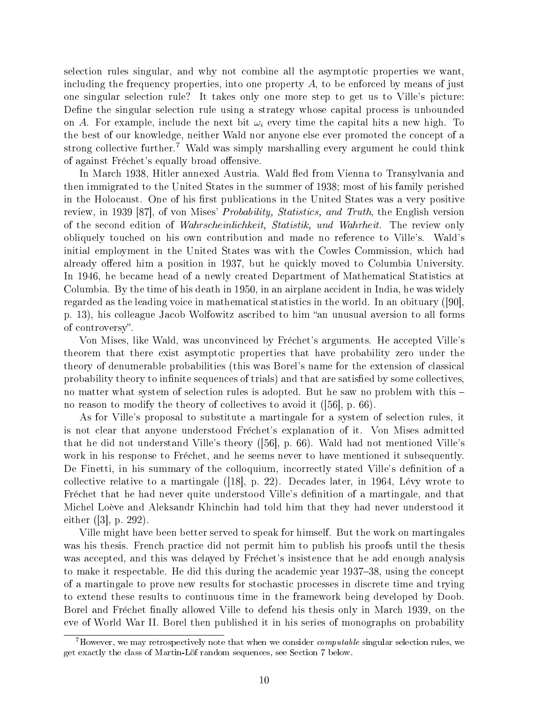selection rules singular, and why not combine all the asymptotic properties we want, including the frequency properties, into one property  $A$ , to be enforced by means of just one singular selection rule? It takes only one more step to get us to Ville's picture: Define the singular selection rule using a strategy whose capital process is unbounded on A. For example, include the next bit  $\omega_i$  every time the capital hits a new high. To the best of our knowledge, neither Wald nor anyone else ever promoted the concept of a strong collective further.<sup>7</sup> Wald was simply marshalling every argument he could think of against Fréchet's equally broad offensive.

In March 1938, Hitler annexed Austria. Wald fled from Vienna to Transylvania and then immigrated to the United States in the summer of 1938; most of his family perished in the Holocaust. One of his first publications in the United States was a very positive review, in 1939 [87], of von Mises' Probability, Statistics, and Truth, the English version of the second edition of Wahrscheinlichkeit, Statistik, und Wahrheit. The review only obliquely touched on his own contribution and made no reference to Ville's. Wald's initial employment in the United States was with the Cowles Commission, which had already offered him a position in 1937, but he quickly moved to Columbia University. In 1946, he became head of a newly created Department of Mathematical Statistics at Columbia. By the time of his death in 1950, in an airplane accident in India, he was widely regarded as the leading voice in mathematical statistics in the world. In an obituary ([90], p. 13), his colleague Jacob Wolfowitz ascribed to him "an unusual aversion to all forms of controversy.

Von Mises, like Wald, was unconvinced by Frechet's arguments. He accepted Ville's theorem that there exist asymptotic properties that have probability zero under the theory of denumerable probabilities (this was Borel's name for the extension of classical probability theory to infinite sequences of trials) and that are satisfied by some collectives, no matter what system of selection rules is adopted. But he saw no problem with this no reason to modify the theory of collectives to avoid it ([56], p. 66).

As for Ville's proposal to substitute a martingale for a system of selection rules, it is not clear that anyone understood Frechet's explanation of it. Von Mises admitted that he did not understand Ville's theory ([56], p. 66). Wald had not mentioned Ville's work in his response to Frechet, and he seems never to have mentioned it subsequently. De Finetti, in his summary of the colloquium, incorrectly stated Ville's definition of a collective relative to a martingale  $([18], p. 22)$ . Decades later, in 1964, Lévy wrote to Frechet that he had never quite understood Ville's definition of a martingale, and that Michel Loeve and Aleksandr Khinchin had told him that they had never understood it either ([3], p. 292).

Ville might have been better served to speak for himself. But the work on martingales was his thesis. French practice did not permit him to publish his proofs until the thesis was accepted, and this was delayed by Frechet's insistence that he add enough analysis to make it respectable. He did this during the academic year 1937–38, using the concept of a martingale to prove new results for stochastic processes in discrete time and trying to extend these results to continuous time in the framework being developed by Doob. Borel and Fréchet finally allowed Ville to defend his thesis only in March 1939, on the eve of World War II. Borel then published it in his series of monographs on probability

Thowever, we may retrospectively note that when we consider *computable* singular selection rules, we get exactly the class of Martin-Lof random sequences, see Section 7 below.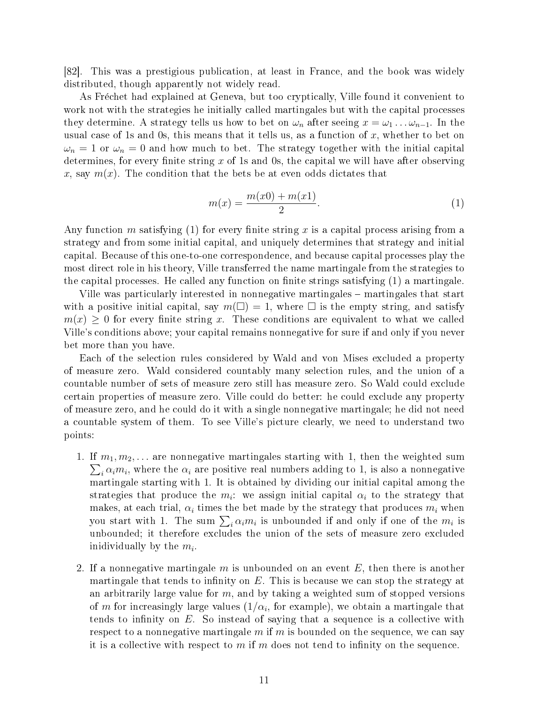[82]. This was a prestigious publication, at least in France, and the book was widely distributed, though apparently not widely read.

As Frechet had explained at Geneva, but too cryptically, Ville found it convenient to work not with the strategies he initially called martingales but with the capital processes they determine. A strategy tells us how to bet on  $\omega_n$  after seeing  $x = \omega_1 \dots \omega_{n-1}$ . In the usual case of 1s and 0s, this means that it tells us, as a function of  $x$ , whether to bet on  $\omega_n = 1$  or  $\omega_n = 0$  and how much to bet. The strategy together with the initial capital determines, for every finite string  $x$  of 1s and 0s, the capital we will have after observing x, say  $m(x)$ . The condition that the bets be at even odds dictates that

$$
m(x) = \frac{m(x0) + m(x1)}{2}.
$$
 (1)

Any function m satisfying (1) for every finite string x is a capital process arising from a strategy and from some initial capital, and uniquely determines that strategy and initial capital. Because of this one-to-one correspondence, and because capital processes play the most direct role in his theory, Ville transferred the name martingale from the strategies to the capital processes. He called any function on finite strings satisfying  $(1)$  a martingale.

Ville was particularly interested in nonnegative martingales martingales that start with a positive initial capital, say  $m(\square) = 1$ , where  $\square$  is the empty string, and satisfy  $m(x) \geq 0$  for every finite string x. These conditions are equivalent to what we called Ville's conditions above; your capital remains nonnegative for sure if and only if you never bet more than you have.

Each of the selection rules considered by Wald and von Mises excluded a property of measure zero. Wald considered countably many selection rules, and the union of a countable number of sets of measure zero still has measure zero. So Wald could exclude certain properties of measure zero. Ville could do better: he could exclude any property of measure zero, and he could do it with a single nonnegative martingale; he did not need a countable system of them. To see Ville's picture clearly, we need to understand two points:

- 1. If  $m_1, m_2, \ldots$  are nonnegative martingales starting with 1, then the weighted sum  $_i \alpha_i m_i$ , where the  $\alpha_i$  are positive real numbers adding to 1, is also a nonnegative martingale starting with 1. It is obtained by dividing our initial capital among the strategies that produce the  $m_i$ : we assign initial capital  $\alpha_i$  to the strategy that makes, at each trial,  $\alpha_i$  times the bet made by the strategy that produces  $m_i$  when makes, at each trial,  $\alpha_i$  times the bet made by the strategy that produces  $m_i$  when<br>you start with 1. The sum  $\sum_i \alpha_i m_i$  is unbounded if and only if one of the  $m_i$  is unbounded; it therefore excludes the union of the sets of measure zero excluded inidividually by the  $m_i$ .
- 2. If a nonnegative martingale m is unbounded on an event  $E$ , then there is another martingale that tends to infinity on  $E$ . This is because we can stop the strategy at an arbitrarily large value for  $m$ , and by taking a weighted sum of stopped versions of  $m$  for increasingly large values  $(1/\alpha_i,$  for example), we obtain a martingale that tends to infinity on  $E$ . So instead of saying that a sequence is a collective with respect to a nonnegative martingale  $m$  if  $m$  is bounded on the sequence, we can say it is a collective with respect to  $m$  if  $m$  does not tend to infinity on the sequence.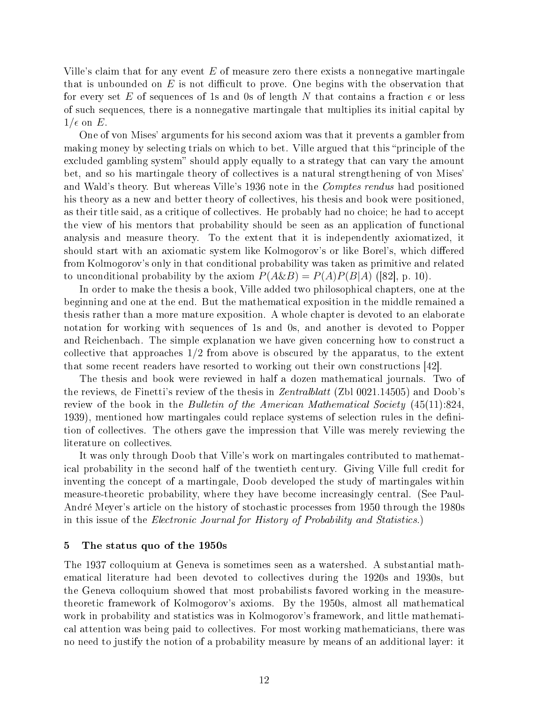Ville's claim that for any event  $E$  of measure zero there exists a nonnegative martingale that is unbounded on  $E$  is not difficult to prove. One begins with the observation that for every set E of sequences of 1s and 0s of length N that contains a fraction  $\epsilon$  or less of such sequences, there is a nonnegative martingale that multiplies its initial capital by  $1/\epsilon$  on E.

One of von Mises' arguments for his second axiom was that it prevents a gambler from making money by selecting trials on which to bet. Ville argued that this "principle of the excluded gambling system" should apply equally to a strategy that can vary the amount bet, and so his martingale theory of collectives is a natural strengthening of von Mises' and Wald's theory. But whereas Ville's 1936 note in the *Comptes rendus* had positioned his theory as a new and better theory of collectives, his thesis and book were positioned, as their title said, as a critique of collectives. He probably had no choice; he had to accept the view of his mentors that probability should be seen as an application of functional analysis and measure theory. To the extent that it is independently axiomatized, it should start with an axiomatic system like Kolmogorov's or like Borel's, which differed from Kolmogorov's only in that conditional probability was taken as primitive and related to unconditional probability by the axiom  $P(A\&B) = P(A)P(B|A)$  ([82], p. 10).

In order to make the thesis a book, Ville added two philosophical chapters, one at the beginning and one at the end. But the mathematical exposition in the middle remained a thesis rather than a more mature exposition. A whole chapter is devoted to an elaborate notation for working with sequences of 1s and 0s, and another is devoted to Popper and Reichenbach. The simple explanation we have given concerning how to construct a collective that approaches 1/2 from above is obscured by the apparatus, to the extent that some recent readers have resorted to working out their own constructions [42].

The thesis and book were reviewed in half a dozen mathematical journals. Two of the reviews, de Finetti's review of the thesis in Zentralblatt (Zbl 0021.14505) and Doob's review of the book in the Bulletin of the American Mathematical Society (45(11):824, 1939), mentioned how martingales could replace systems of selection rules in the definition of collectives. The others gave the impression that Ville was merely reviewing the literature on collectives.

It was only through Doob that Ville's work on martingales contributed to mathematical probability in the second half of the twentieth century. Giving Ville full credit for inventing the concept of a martingale, Doob developed the study of martingales within measure-theoretic probability, where they have become increasingly central. (See Paul-Andre Meyer's article on the history of stochastic processes from 1950 through the 1980s in this issue of the Electronic Journal for History of Probability and Statistics.)

# 5 The status quo of the 1950s

The 1937 colloquium at Geneva is sometimes seen as a watershed. A substantial mathematical literature had been devoted to collectives during the 1920s and 1930s, but the Geneva colloquium showed that most probabilists favored working in the measuretheoretic framework of Kolmogorov's axioms. By the 1950s, almost all mathematical work in probability and statistics was in Kolmogorov's framework, and little mathematical attention was being paid to collectives. For most working mathematicians, there was no need to justify the notion of a probability measure by means of an additional layer: it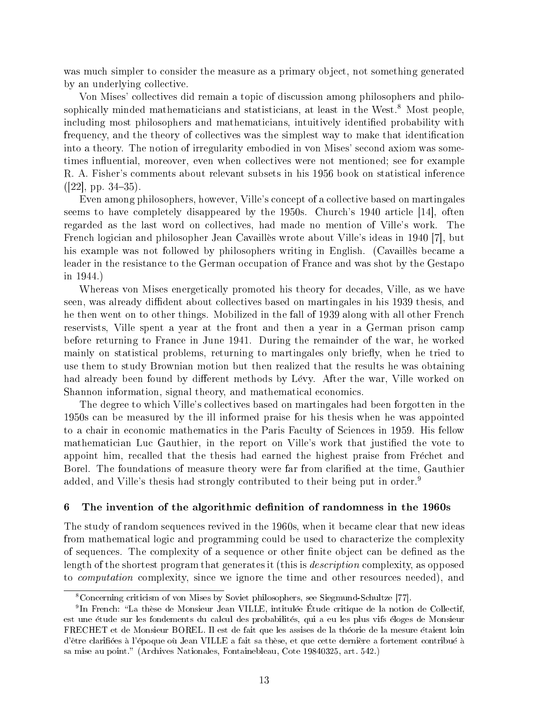was much simpler to consider the measure as a primary object, not something generated by an underlying collective.

Von Mises' collectives did remain a topic of discussion among philosophers and philosophically minded mathematicians and statisticians, at least in the West.<sup>8</sup> Most people. including most philosophers and mathematicians, intuitively identified probability with frequency, and the theory of collectives was the simplest way to make that identification into a theory. The notion of irregularity embodied in von Mises' second axiom was sometimes influential, moreover, even when collectives were not mentioned; see for example R. A. Fisher's comments about relevant subsets in his 1956 book on statistical inference  $(|22|, pp. 34-35).$ 

Even among philosophers, however, Ville's concept of a collective based on martingales seems to have completely disappeared by the 1950s. Church's 1940 article [14], often regarded as the last word on collectives, had made no mention of Ville's work. The French logician and philosopher Jean Cavailles wrote about Ville's ideas in 1940 [7], but his example was not followed by philosophers writing in English. (Cavailles became a leader in the resistance to the German occupation of France and was shot by the Gestapo in 1944.)

Whereas von Mises energetically promoted his theory for decades, Ville, as we have seen, was already diffident about collectives based on martingales in his 1939 thesis, and he then went on to other things. Mobilized in the fall of 1939 along with all other French reservists, Ville spent a year at the front and then a year in a German prison camp before returning to France in June 1941. During the remainder of the war, he worked mainly on statistical problems, returning to martingales only briefly, when he tried to use them to study Brownian motion but then realized that the results he was obtaining had already been found by different methods by Lévy. After the war, Ville worked on Shannon information, signal theory, and mathematical economics.

The degree to which Ville's collectives based on martingales had been forgotten in the 1950s can be measured by the ill informed praise for his thesis when he was appointed to a chair in economic mathematics in the Paris Faculty of Sciences in 1959. His fellow mathematician Luc Gauthier, in the report on Ville's work that justied the vote to appoint him, recalled that the thesis had earned the highest praise from Frechet and Borel. The foundations of measure theory were far from clarified at the time, Gauthier added, and Ville's thesis had strongly contributed to their being put in order.<sup>9</sup>

# 6 The invention of the algorithmic definition of randomness in the 1960s

The study of random sequences revived in the 1960s, when it became clear that new ideas from mathematical logic and programming could be used to characterize the complexity of sequences. The complexity of a sequence or other nite object can be dened as the length of the shortest program that generates it (this is *description* complexity, as opposed to computation complexity, since we ignore the time and other resources needed), and

<sup>8</sup>Concerning criticism of von Mises by Soviet philosophers, see Siegmund-Schultze [77].

<sup>&</sup>lt;sup>9</sup>In French: "La thèse de Monsieur Jean VILLE, intitulée Étude critique de la notion de Collectif, est une etude sur les fondements du calcul des probabilites, qui a eu les plus vifs eloges de Monsieur FRECHET et de Monsieur BOREL. Il est de fait que les assises de la theorie de la mesure etaient loin d'être clarifiées à l'époque où Jean VILLE a fait sa thèse, et que cette dernière a fortement contribué à sa mise au point." (Archives Nationales, Fontainebleau, Cote 19840325, art. 542.)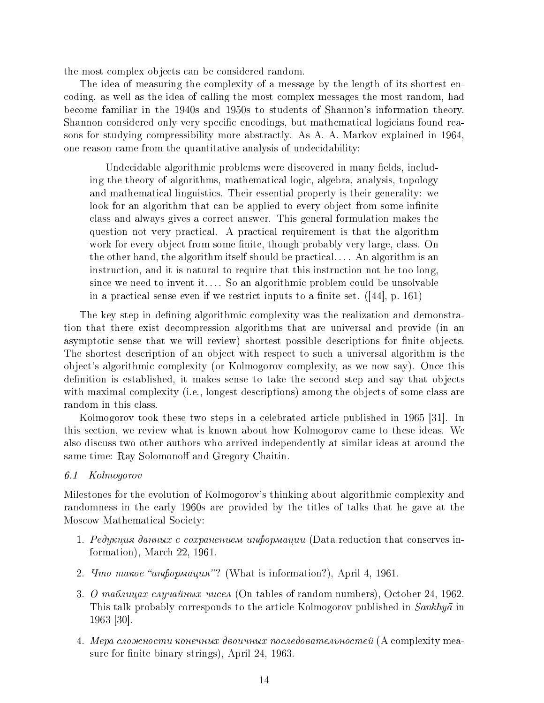the most complex objects can be considered random.

The idea of measuring the complexity of a message by the length of its shortest encoding, as well as the idea of calling the most complex messages the most random, had become familiar in the 1940s and 1950s to students of Shannon's information theory. Shannon considered only very specific encodings, but mathematical logicians found reasons for studying compressibility more abstractly. As A. A. Markov explained in 1964, one reason came from the quantitative analysis of undecidability:

Undecidable algorithmic problems were discovered in many fields, including the theory of algorithms, mathematical logic, algebra, analysis, topology and mathematical linguistics. Their essential property is their generality: we look for an algorithm that can be applied to every object from some infinite class and always gives a correct answer. This general formulation makes the question not very practical. A practical requirement is that the algorithm work for every object from some finite, though probably very large, class. On the other hand, the algorithm itself should be practical. . . . An algorithm is an instruction, and it is natural to require that this instruction not be too long, since we need to invent it.... So an algorithmic problem could be unsolvable in a practical sense even if we restrict inputs to a finite set.  $([44], p. 161)$ 

The key step in defining algorithmic complexity was the realization and demonstration that there exist decompression algorithms that are universal and provide (in an asymptotic sense that we will review) shortest possible descriptions for finite objects. The shortest description of an object with respect to such a universal algorithm is the object's algorithmic complexity (or Kolmogorov complexity, as we now say). Once this definition is established, it makes sense to take the second step and say that objects with maximal complexity (i.e., longest descriptions) among the objects of some class are random in this class.

Kolmogorov took these two steps in a celebrated article published in 1965 [31]. In this section, we review what is known about how Kolmogorov came to these ideas. We also discuss two other authors who arrived independently at similar ideas at around the same time: Ray Solomonoff and Gregory Chaitin.

# 6.1 Kolmogorov

Milestones for the evolution of Kolmogorov's thinking about algorithmic complexity and randomness in the early 1960s are provided by the titles of talks that he gave at the Moscow Mathematical Society:

- 1.  $Pe\partial y\kappa u\mu x \partial a\kappa u\kappa x \dot{c} c\kappa x$  *parentem undopmayuu* (Data reduction that conserves information), March 22, 1961.
- 2.  $\eta$ <sup>2</sup> *4mo maxoe "undopmayar"*? (What is information?), April 4, 1961.
- 3. *O ma bau u axe cay u a ŭnusta u cea* (On tables of random numbers), October 24, 1962. This talk probably corresponds to the article Kolmogorov published in  $Sankhy\bar{a}$  in 1963 [30].
- $4.$  Мера сложности конечных двоичных последовательностей (A complexity measure for finite binary strings), April 24, 1963.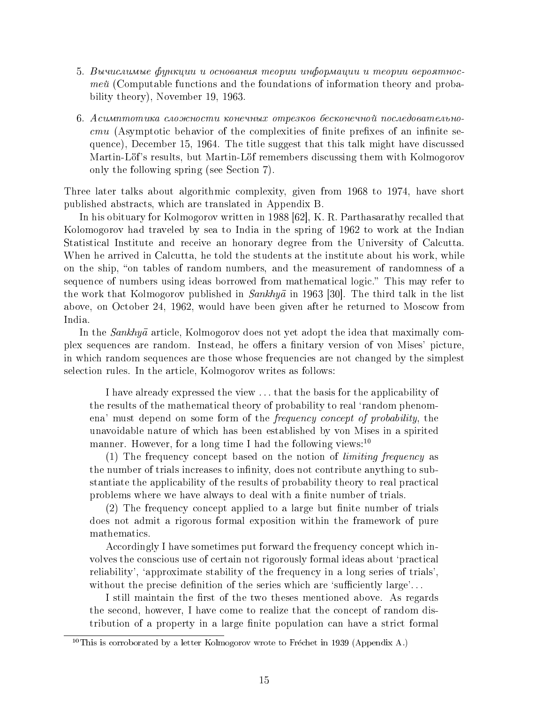- 5. Вычислимые функции и основания теории информации и теории вероятнос $me\tilde{u}$  (Computable functions and the foundations of information theory and probability theory), November 19, 1963.
- $6. Acuunmomu$ ка сложности конечных отрезков бесконечной последовательно  $cmu$  (Asymptotic behavior of the complexities of finite prefixes of an infinite sequence), December 15, 1964. The title suggest that this talk might have discussed Martin-Löf's results, but Martin-Löf remembers discussing them with Kolmogorov only the following spring (see Section 7).

Three later talks about algorithmic complexity, given from 1968 to 1974, have short published abstracts, which are translated in Appendix B.

In his obituary for Kolmogorov written in 1988 [62], K. R. Parthasarathy recalled that Kolomogorov had traveled by sea to India in the spring of 1962 to work at the Indian Statistical Institute and receive an honorary degree from the University of Calcutta. When he arrived in Calcutta, he told the students at the institute about his work, while on the ship, "on tables of random numbers, and the measurement of randomness of a sequence of numbers using ideas borrowed from mathematical logic." This may refer to the work that Kolmogorov published in  $Sankhy\bar{a}$  in 1963 [30]. The third talk in the list above, on October 24, 1962, would have been given after he returned to Moscow from India.

In the Sankhya article, Kolmogorov does not yet adopt the idea that maximally complex sequences are random. Instead, he offers a finitary version of von Mises' picture, in which random sequences are those whose frequencies are not changed by the simplest selection rules. In the article, Kolmogorov writes as follows:

I have already expressed the view . . . that the basis for the applicability of the results of the mathematical theory of probability to real 'random phenomena' must depend on some form of the frequency concept of probability, the unavoidable nature of which has been established by von Mises in a spirited manner. However, for a long time I had the following views: $10$ 

(1) The frequency concept based on the notion of limiting frequency as the number of trials increases to infinity, does not contribute anything to substantiate the applicability of the results of probability theory to real practical problems where we have always to deal with a finite number of trials.

 $(2)$  The frequency concept applied to a large but finite number of trials does not admit a rigorous formal exposition within the framework of pure mathematics.

Accordingly I have sometimes put forward the frequency concept which involves the conscious use of certain not rigorously formal ideas about `practical reliability', 'approximate stability of the frequency in a long series of trials'. without the precise definition of the series which are 'sufficiently large'...

I still maintain the first of the two theses mentioned above. As regards the second, however, I have come to realize that the concept of random distribution of a property in a large finite population can have a strict formal

<sup>&</sup>lt;sup>10</sup>This is corroborated by a letter Kolmogorov wrote to Fréchet in 1939 (Appendix A.)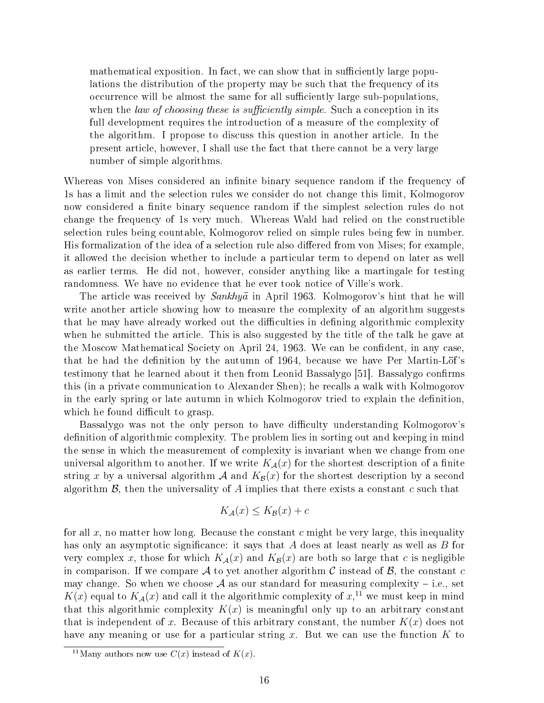mathematical exposition. In fact, we can show that in sufficiently large populations the distribution of the property may be such that the frequency of its occurrence will be almost the same for all sufficiently large sub-populations, when the law of choosing these is sufficiently simple. Such a conception in its full development requires the introduction of a measure of the complexity of the algorithm. I propose to discuss this question in another article. In the present article, however, I shall use the fact that there cannot be a very large number of simple algorithms.

Whereas von Mises considered an infinite binary sequence random if the frequency of 1s has a limit and the selection rules we consider do not change this limit, Kolmogorov now considered a finite binary sequence random if the simplest selection rules do not change the frequency of 1s very much. Whereas Wald had relied on the constructible selection rules being countable, Kolmogorov relied on simple rules being few in number. His formalization of the idea of a selection rule also differed from von Mises; for example, it allowed the decision whether to include a particular term to depend on later as well as earlier terms. He did not, however, consider anything like a martingale for testing randomness. We have no evidence that he ever took notice of Ville's work.

The article was received by  $Sankhy\bar{a}$  in April 1963. Kolmogorov's hint that he will write another article showing how to measure the complexity of an algorithm suggests that he may have already worked out the difficulties in defining algorithmic complexity when he submitted the article. This is also suggested by the title of the talk he gave at the Moscow Mathematical Society on April 24, 1963. We can be confident, in any case, that he had the definition by the autumn of 1964, because we have Per Martin-Löf's testimony that he learned about it then from Leonid Bassalygo [51]. Bassalygo confirms this (in a private communication to Alexander Shen); he recalls a walk with Kolmogorov in the early spring or late autumn in which Kolmogorov tried to explain the definition, which he found difficult to grasp.

Bassalygo was not the only person to have difficulty understanding Kolmogorov's definition of algorithmic complexity. The problem lies in sorting out and keeping in mind the sense in which the measurement of complexity is invariant when we change from one universal algorithm to another. If we write  $K_{\mathcal{A}}(x)$  for the shortest description of a finite string x by a universal algorithm A and  $K_{\mathcal{B}}(x)$  for the shortest description by a second algorithm  $\mathcal{B}$ , then the universality of A implies that there exists a constant c such that

$$
K_{\mathcal{A}}(x) \le K_{\mathcal{B}}(x) + c
$$

for all x, no matter how long. Because the constant c might be very large, this inequality has only an asymptotic significance: it says that A does at least nearly as well as B for very complex x, those for which  $K_{\mathcal{A}}(x)$  and  $K_{\mathcal{B}}(x)$  are both so large that c is negligible in comparison. If we compare A to yet another algorithm C instead of  $\mathcal{B}$ , the constant c may change. So when we choose A as our standard for measuring complexity – i.e., set  $K(x)$  equal to  $K_{\mathcal{A}}(x)$  and call it the algorithmic complexity of  $x,$ <sup>11</sup> we must keep in mind that this algorithmic complexity  $K(x)$  is meaningful only up to an arbitrary constant that is independent of x. Because of this arbitrary constant, the number  $K(x)$  does not have any meaning or use for a particular string  $x$ . But we can use the function  $K$  to

<sup>&</sup>lt;sup>11</sup>Many authors now use  $C(x)$  instead of  $K(x)$ .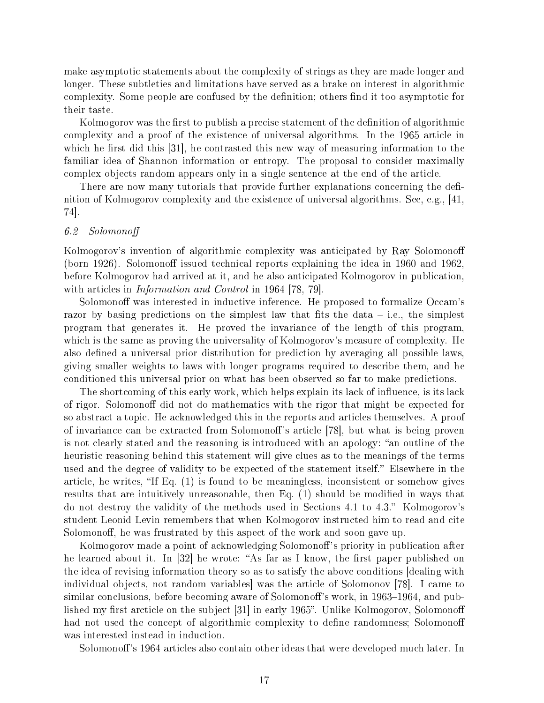make asymptotic statements about the complexity of strings as they are made longer and longer. These subtleties and limitations have served as a brake on interest in algorithmic complexity. Some people are confused by the definition; others find it too asymptotic for their taste.

Kolmogorov was the first to publish a precise statement of the definition of algorithmic complexity and a proof of the existence of universal algorithms. In the 1965 article in which he first did this  $|31|$ , he contrasted this new way of measuring information to the familiar idea of Shannon information or entropy. The proposal to consider maximally complex objects random appears only in a single sentence at the end of the article.

There are now many tutorials that provide further explanations concerning the definition of Kolmogorov complexity and the existence of universal algorithms. See, e.g., [41, 74].

# 6.2 Solomono

Kolmogorov's invention of algorithmic complexity was anticipated by Ray Solomonoff (born 1926). Solomonoff issued technical reports explaining the idea in 1960 and 1962, before Kolmogorov had arrived at it, and he also anticipated Kolmogorov in publication, with articles in *Information and Control* in 1964 [78, 79].

Solomonoff was interested in inductive inference. He proposed to formalize Occam's razor by basing predictions on the simplest law that fits the data  $-$  i.e., the simplest program that generates it. He proved the invariance of the length of this program, which is the same as proving the universality of Kolmogorov's measure of complexity. He also defined a universal prior distribution for prediction by averaging all possible laws, giving smaller weights to laws with longer programs required to describe them, and he conditioned this universal prior on what has been observed so far to make predictions.

The shortcoming of this early work, which helps explain its lack of influence, is its lack of rigor. Solomonoff did not do mathematics with the rigor that might be expected for so abstract a topic. He acknowledged this in the reports and articles themselves. A proof of invariance can be extracted from Solomonoff's article [78], but what is being proven is not clearly stated and the reasoning is introduced with an apology: "an outline of the heuristic reasoning behind this statement will give clues as to the meanings of the terms used and the degree of validity to be expected of the statement itself." Elsewhere in the article, he writes, "If Eq.  $(1)$  is found to be meaningless, inconsistent or somehow gives results that are intuitively unreasonable, then Eq. (1) should be modified in ways that do not destroy the validity of the methods used in Sections 4.1 to 4.3. Kolmogorov's student Leonid Levin remembers that when Kolmogorov instructed him to read and cite Solomonoff, he was frustrated by this aspect of the work and soon gave up.

Kolmogorov made a point of acknowledging Solomonoff's priority in publication after he learned about it. In  $[32]$  he wrote: "As far as I know, the first paper published on the idea of revising information theory so as to satisfy the above conditions [dealing with individual objects, not random variables] was the article of Solomonov [78]. I came to similar conclusions, before becoming aware of Solomonoff's work, in 1963–1964, and published my first arcticle on the subject  $[31]$  in early 1965". Unlike Kolmogorov, Solomonoff had not used the concept of algorithmic complexity to define randomness; Solomonoff was interested instead in induction.

Solomonoff's 1964 articles also contain other ideas that were developed much later. In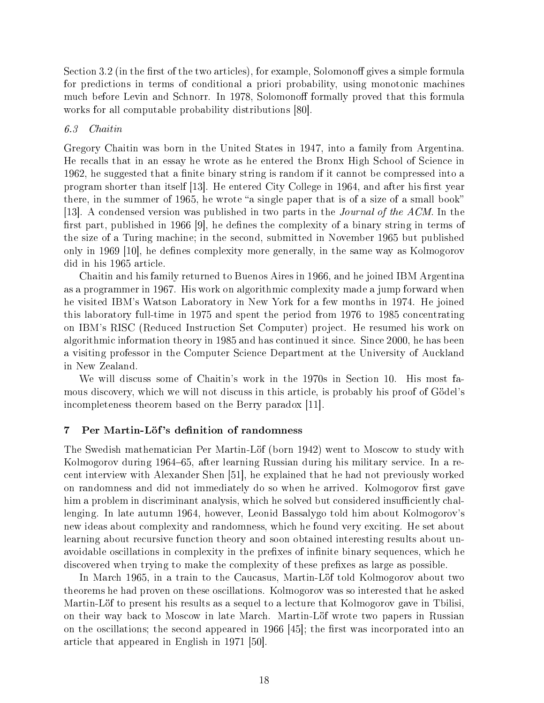Section 3.2 (in the first of the two articles), for example, Solomonoff gives a simple formula for predictions in terms of conditional a priori probability, using monotonic machines much before Levin and Schnorr. In 1978, Solomonoff formally proved that this formula works for all computable probability distributions [80].

## 6.3 Chaitin

Gregory Chaitin was born in the United States in 1947, into a family from Argentina. He recalls that in an essay he wrote as he entered the Bronx High School of Science in 1962, he suggested that a finite binary string is random if it cannot be compressed into a program shorter than itself [13]. He entered City College in 1964, and after his first year there, in the summer of 1965, he wrote "a single paper that is of a size of a small book" [13]. A condensed version was published in two parts in the Journal of the ACM. In the first part, published in 1966 [9], he defines the complexity of a binary string in terms of the size of a Turing machine; in the second, submitted in November 1965 but published only in 1969 [10], he defines complexity more generally, in the same way as Kolmogorov did in his 1965 article.

Chaitin and his family returned to Buenos Aires in 1966, and he joined IBM Argentina as a programmer in 1967. His work on algorithmic complexity made a jump forward when he visited IBM's Watson Laboratory in New York for a few months in 1974. He joined this laboratory full-time in 1975 and spent the period from 1976 to 1985 concentrating on IBM's RISC (Reduced Instruction Set Computer) project. He resumed his work on algorithmic information theory in 1985 and has continued it since. Since 2000, he has been a visiting professor in the Computer Science Department at the University of Auckland in New Zealand.

We will discuss some of Chaitin's work in the 1970s in Section 10. His most famous discovery, which we will not discuss in this article, is probably his proof of Godel's incompleteness theorem based on the Berry paradox [11].

# 7 Per Martin-Löf's definition of randomness

The Swedish mathematician Per Martin-Löf (born 1942) went to Moscow to study with Kolmogorov during 1964–65, after learning Russian during his military service. In a recent interview with Alexander Shen [51], he explained that he had not previously worked on randomness and did not immediately do so when he arrived. Kolmogorov first gave him a problem in discriminant analysis, which he solved but considered insufficiently challenging. In late autumn 1964, however, Leonid Bassalygo told him about Kolmogorov's new ideas about complexity and randomness, which he found very exciting. He set about learning about recursive function theory and soon obtained interesting results about unavoidable oscillations in complexity in the prefixes of infinite binary sequences, which he discovered when trying to make the complexity of these prefixes as large as possible.

In March 1965, in a train to the Caucasus, Martin-Löf told Kolmogorov about two theorems he had proven on these oscillations. Kolmogorov was so interested that he asked Martin-Löf to present his results as a sequel to a lecture that Kolmogorov gave in Tbilisi, on their way back to Moscow in late March. Martin-Lot wrote two papers in Russian on the oscillations; the second appeared in  $1966$  [45]; the first was incorporated into an article that appeared in English in 1971 [50].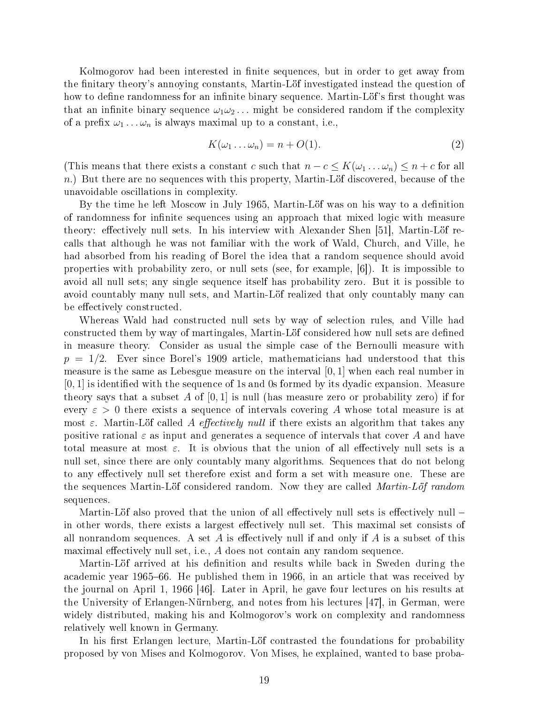Kolmogorov had been interested in finite sequences, but in order to get away from the finitary theory's annoying constants, Martin-Löf investigated instead the question of how to define randomness for an infinite binary sequence. Martin-Löf's first thought was that an infinite binary sequence  $\omega_1\omega_2 \ldots$  might be considered random if the complexity of a prefix  $\omega_1 \dots \omega_n$  is always maximal up to a constant, i.e.,

$$
K(\omega_1 \dots \omega_n) = n + O(1). \tag{2}
$$

(This means that there exists a constant c such that  $n - c \le K(\omega_1 \dots \omega_n) \le n + c$  for all  $n.$ ) But there are no sequences with this property, Martin-Löf discovered, because of the unavoidable oscillations in complexity.

By the time he left Moscow in July 1965, Martin-Löf was on his way to a definition of randomness for infinite sequences using an approach that mixed logic with measure theory: effectively null sets. In his interview with Alexander Shen [51], Martin-Löf recalls that although he was not familiar with the work of Wald, Church, and Ville, he had absorbed from his reading of Borel the idea that a random sequence should avoid properties with probability zero, or null sets (see, for example, [6]). It is impossible to avoid all null sets; any single sequence itself has probability zero. But it is possible to avoid countably many null sets, and Martin-Löf realized that only countably many can be effectively constructed.

Whereas Wald had constructed null sets by way of selection rules, and Ville had constructed them by way of martingales, Martin-Löf considered how null sets are defined in measure theory. Consider as usual the simple case of the Bernoulli measure with  $p = 1/2$ . Ever since Borel's 1909 article, mathematicians had understood that this measure is the same as Lebesgue measure on the interval  $[0, 1]$  when each real number in  $[0, 1]$  is identified with the sequence of 1s and 0s formed by its dyadic expansion. Measure theory says that a subset A of  $[0, 1]$  is null (has measure zero or probability zero) if for every  $\varepsilon > 0$  there exists a sequence of intervals covering A whose total measure is at most  $\varepsilon$ . Martin-Löf called A effectively null if there exists an algorithm that takes any positive rational  $\varepsilon$  as input and generates a sequence of intervals that cover A and have total measure at most  $\varepsilon$ . It is obvious that the union of all effectively null sets is a null set, since there are only countably many algorithms. Sequences that do not belong to any effectively null set therefore exist and form a set with measure one. These are the sequences Martin-Löf considered random. Now they are called *Martin-Löf random* sequences.

Martin-Löf also proved that the union of all effectively null sets is effectively null  $$ in other words, there exists a largest effectively null set. This maximal set consists of all nonrandom sequences. A set A is effectively null if and only if A is a subset of this maximal effectively null set, i.e.,  $A$  does not contain any random sequence.

Martin-Löf arrived at his definition and results while back in Sweden during the academic year 1965–66. He published them in 1966, in an article that was received by the journal on April 1, 1966 [46]. Later in April, he gave four lectures on his results at the University of Erlangen-Nurnberg, and notes from his lectures [47], in German, were widely distributed, making his and Kolmogorov's work on complexity and randomness relatively well known in Germany.

In his first Erlangen lecture, Martin-Löf contrasted the foundations for probability proposed by von Mises and Kolmogorov. Von Mises, he explained, wanted to base proba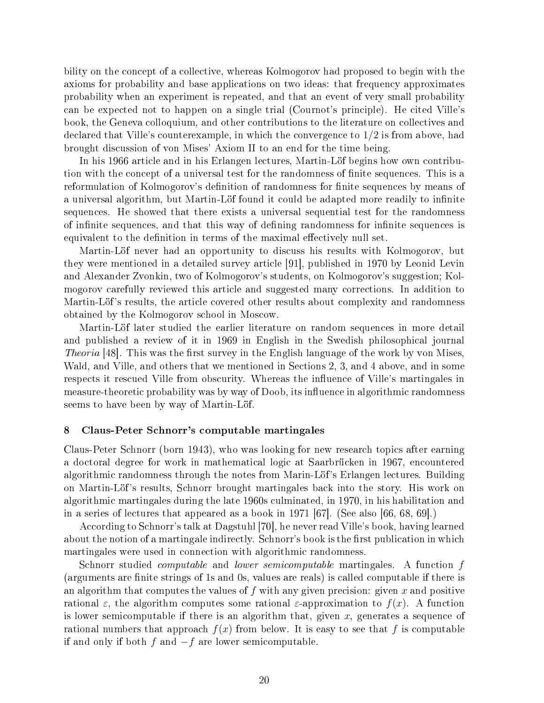bility on the concept of a collective, whereas Kolmogorov had proposed to begin with the axioms for probability and base applications on two ideas: that frequency approximates probability when an experiment is repeated, and that an event of very small probability can be expected not to happen on a single trial (Cournot's principle). He cited Ville's book, the Geneva colloquium, and other contributions to the literature on collectives and declared that Ville's counterexample, in which the convergence to 1/2 is from above, had brought discussion of von Mises' Axiom II to an end for the time being.

In his 1966 article and in his Erlangen lectures, Martin-Löf begins how own contribution with the concept of a universal test for the randomness of nite sequences. This is a reformulation of Kolmogorov's definition of randomness for finite sequences by means of a universal algorithm, but Martin-Löf found it could be adapted more readily to infinite sequences. He showed that there exists a universal sequential test for the randomness of infinite sequences, and that this way of defining randomness for infinite sequences is equivalent to the definition in terms of the maximal effectively null set.

Martin-Lof never had an opportunity to discuss his results with Kolmogorov, but they were mentioned in a detailed survey article [91], published in 1970 by Leonid Levin and Alexander Zvonkin, two of Kolmogorov's students, on Kolmogorov's suggestion; Kolmogorov carefully reviewed this article and suggested many corrections. In addition to Martin-Löf's results, the article covered other results about complexity and randomness obtained by the Kolmogorov school in Moscow.

Martin-Lof later studied the earlier literature on random sequences in more detail and published a review of it in 1969 in English in the Swedish philosophical journal *Theoria*  $|48|$ . This was the first survey in the English language of the work by von Mises. Wald, and Ville, and others that we mentioned in Sections 2, 3, and 4 above, and in some respects it rescued Ville from obscurity. Whereas the influence of Ville's martingales in measure-theoretic probability was by way of Doob, its influence in algorithmic randomness seems to have been by way of Martin-Löf.

# 8 Claus-Peter Schnorr's computable martingales

Claus-Peter Schnorr (born 1943), who was looking for new research topics after earning a doctoral degree for work in mathematical logic at Saarbrucken in 1967, encountered algorithmic randomness through the notes from Marin-Löf's Erlangen lectures. Building on Martin-Lof's results, Schnorr brought martingales back into the story. His work on algorithmic martingales during the late 1960s culminated, in 1970, in his habilitation and in a series of lectures that appeared as a book in 1971 [67]. (See also [66, 68, 69].)

According to Schnorr's talk at Dagstuhl [70], he never read Ville's book, having learned about the notion of a martingale indirectly. Schnorr's book is the first publication in which martingales were used in connection with algorithmic randomness.

Schnorr studied *computable* and *lower semicomputable* martingales. A function f (arguments are finite strings of 1s and 0s, values are reals) is called computable if there is an algorithm that computes the values of  $f$  with any given precision: given  $x$  and positive rational  $\varepsilon$ , the algorithm computes some rational  $\varepsilon$ -approximation to  $f(x)$ . A function is lower semicomputable if there is an algorithm that, given x, generates a sequence of rational numbers that approach  $f(x)$  from below. It is easy to see that f is computable if and only if both f and  $-f$  are lower semicomputable.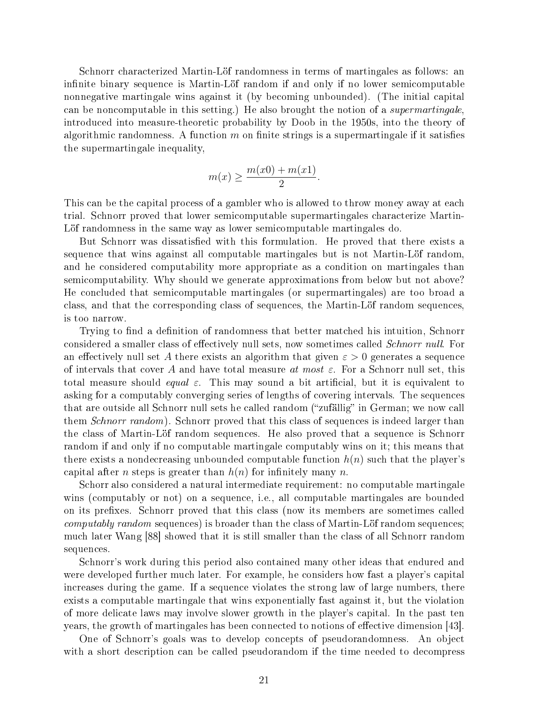Schnorr characterized Martin-Lof randomness in terms of martingales as follows: an infinite binary sequence is Martin-Löf random if and only if no lower semicomputable nonnegative martingale wins against it (by becoming unbounded). (The initial capital can be noncomputable in this setting.) He also brought the notion of a supermartingale, introduced into measure-theoretic probability by Doob in the 1950s, into the theory of algorithmic randomness. A function  $m$  on finite strings is a supermartingale if it satisfies the supermartingale inequality,

$$
m(x) \ge \frac{m(x0) + m(x1)}{2}.
$$

This can be the capital process of a gambler who is allowed to throw money away at each trial. Schnorr proved that lower semicomputable supermartingales characterize Martin-Lot randomness in the same way as lower semicomputable martingales do.

But Schnorr was dissatisfied with this formulation. He proved that there exists a sequence that wins against all computable martingales but is not Martin-Löf random, and he considered computability more appropriate as a condition on martingales than semicomputability. Why should we generate approximations from below but not above? He concluded that semicomputable martingales (or supermartingales) are too broad a class, and that the corresponding class of sequences, the Martin-Lof random sequences, is too narrow.

Trying to find a definition of randomness that better matched his intuition, Schnorr considered a smaller class of effectively null sets, now sometimes called *Schnorr null*. For an effectively null set A there exists an algorithm that given  $\varepsilon > 0$  generates a sequence of intervals that cover A and have total measure at most  $\varepsilon$ . For a Schnorr null set, this total measure should *equal*  $\varepsilon$ . This may sound a bit artificial, but it is equivalent to asking for a computably converging series of lengths of covering intervals. The sequences that are outside all Schnorr null sets he called random ("zufällig" in German; we now call them *Schnorr random*). Schnorr proved that this class of sequences is indeed larger than the class of Martin-Lof random sequences. He also proved that a sequence is Schnorr random if and only if no computable martingale computably wins on it; this means that there exists a nondecreasing unbounded computable function  $h(n)$  such that the player's capital after *n* steps is greater than  $h(n)$  for infinitely many *n*.

Schorr also considered a natural intermediate requirement: no computable martingale wins (computably or not) on a sequence, i.e., all computable martingales are bounded on its prefixes. Schnorr proved that this class (now its members are sometimes called  $computably$  random sequences) is broader than the class of Martin-Löf random sequences; much later Wang [88] showed that it is still smaller than the class of all Schnorr random sequences.

Schnorr's work during this period also contained many other ideas that endured and were developed further much later. For example, he considers how fast a player's capital increases during the game. If a sequence violates the strong law of large numbers, there exists a computable martingale that wins exponentially fast against it, but the violation of more delicate laws may involve slower growth in the player's capital. In the past ten years, the growth of martingales has been connected to notions of effective dimension [43].

One of Schnorr's goals was to develop concepts of pseudorandomness. An object with a short description can be called pseudorandom if the time needed to decompress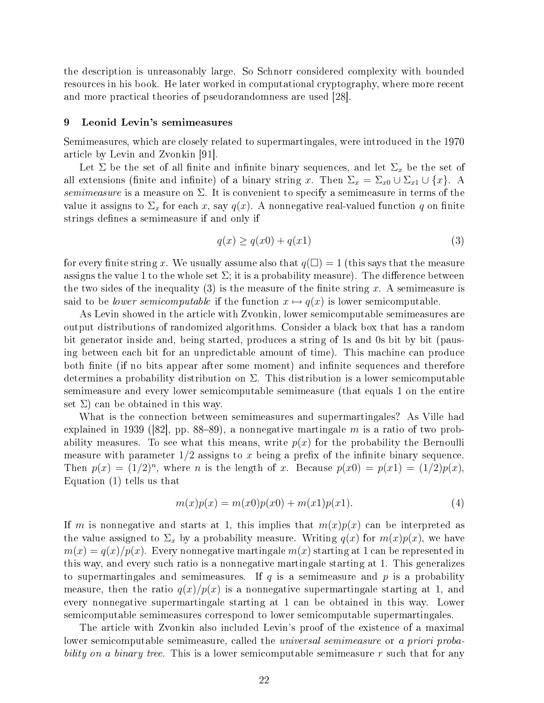the description is unreasonably large. So Schnorr considered complexity with bounded resources in his book. He later worked in computational cryptography, where more recent and more practical theories of pseudorandomness are used [28].

#### 9 Leonid Levin's semimeasures

Semimeasures, which are closely related to supermartingales, were introduced in the 1970 article by Levin and Zvonkin [91].

Let  $\Sigma$  be the set of all finite and infinite binary sequences, and let  $\Sigma_x$  be the set of all extensions (finite and infinite) of a binary string x. Then  $\Sigma_x = \Sigma_{x0} \cup \Sigma_{x1} \cup \{x\}$ . A semimeasure is a measure on  $\Sigma$ . It is convenient to specify a semimeasure in terms of the value it assigns to  $\Sigma_x$  for each x, say  $q(x)$ . A nonnegative real-valued function q on finite strings defines a semimeasure if and only if

$$
q(x) \ge q(x0) + q(x1) \tag{3}
$$

for every finite string x. We usually assume also that  $q(\square) = 1$  (this says that the measure assigns the value 1 to the whole set  $\Sigma$ ; it is a probability measure). The difference between the two sides of the inequality  $(3)$  is the measure of the finite string x. A semimeasure is said to be *lower semicomputable* if the function  $x \mapsto q(x)$  is lower semicomputable.

As Levin showed in the article with Zvonkin, lower semicomputable semimeasures are output distributions of randomized algorithms. Consider a black box that has a random bit generator inside and, being started, produces a string of 1s and 0s bit by bit (pausing between each bit for an unpredictable amount of time). This machine can produce both finite (if no bits appear after some moment) and infinite sequences and therefore determines a probability distribution on  $\Sigma$ . This distribution is a lower semicomputable semimeasure and every lower semicomputable semimeasure (that equals 1 on the entire set  $\Sigma$ ) can be obtained in this way.

What is the connection between semimeasures and supermartingales? As Ville had explained in 1939 ([82], pp. 88–89), a nonnegative martingale m is a ratio of two probability measures. To see what this means, write  $p(x)$  for the probability the Bernoulli measure with parameter  $1/2$  assigns to x being a prefix of the infinite binary sequence. Then  $p(x) = (1/2)^n$ , where *n* is the length of *x*. Because  $p(x0) = p(x1) = (1/2)p(x)$ , Equation (1) tells us that

$$
m(x)p(x) = m(x0)p(x0) + m(x1)p(x1).
$$
 (4)

If m is nonnegative and starts at 1, this implies that  $m(x)p(x)$  can be interpreted as the value assigned to  $\Sigma_x$  by a probability measure. Writing  $q(x)$  for  $m(x)p(x)$ , we have  $m(x) = q(x)/p(x)$ . Every nonnegative martingale  $m(x)$  starting at 1 can be represented in this way, and every such ratio is a nonnegative martingale starting at 1. This generalizes to supermartingales and semimeasures. If  $q$  is a semimeasure and  $p$  is a probability measure, then the ratio  $q(x)/p(x)$  is a nonnegative supermartingale starting at 1, and every nonnegative supermartingale starting at 1 can be obtained in this way. Lower semicomputable semimeasures correspond to lower semicomputable supermartingales.

The article with Zvonkin also included Levin's proof of the existence of a maximal lower semicomputable semimeasure, called the universal semimeasure or a priori probability on a binary tree. This is a lower semicomputable semimeasure  $r$  such that for any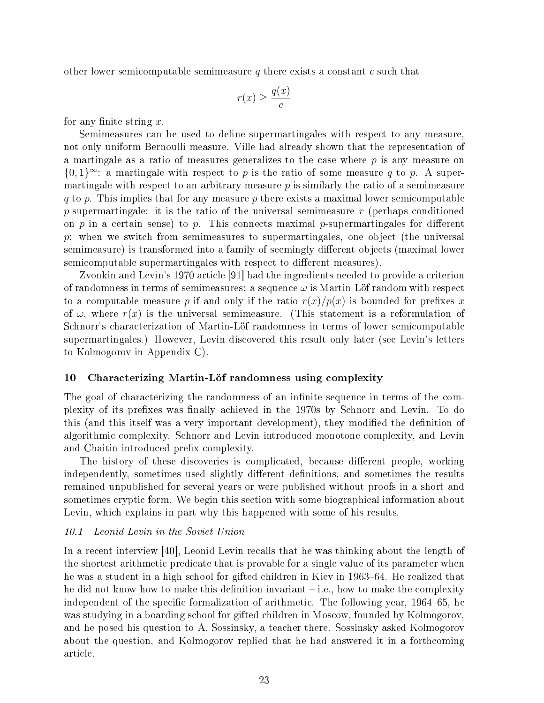other lower semicomputable semimeasure q there exists a constant c such that

$$
r(x) \ge \frac{q(x)}{c}
$$

for any finite string  $x$ .

Semimeasures can be used to define supermartingales with respect to any measure, not only uniform Bernoulli measure. Ville had already shown that the representation of a martingale as a ratio of measures generalizes to the case where  $p$  is any measure on  ${0,1}^{\infty}$ : a martingale with respect to p is the ratio of some measure q to p. A supermartingale with respect to an arbitrary measure  $p$  is similarly the ratio of a semimeasure q to p. This implies that for any measure p there exists a maximal lower semicomputable p-supermartingale: it is the ratio of the universal semimeasure  $r$  (perhaps conditioned on p in a certain sense) to p. This connects maximal p-supermartingales for different p: when we switch from semimeasures to supermartingales, one object (the universal semimeasure) is transformed into a family of seemingly different objects (maximal lower semicomputable supermartingales with respect to different measures).

Zvonkin and Levin's 1970 article [91] had the ingredients needed to provide a criterion of randomness in terms of semimeasures: a sequence  $\omega$  is Martin-Löf random with respect to a computable measure p if and only if the ratio  $r(x)/p(x)$  is bounded for prefixes x of  $\omega$ , where  $r(x)$  is the universal semimeasure. (This statement is a reformulation of Schnorr's characterization of Martin-Löf randomness in terms of lower semicomputable supermartingales.) However, Levin discovered this result only later (see Levin's letters to Kolmogorov in Appendix C).

# 10 Characterizing Martin-Löf randomness using complexity

The goal of characterizing the randomness of an infinite sequence in terms of the complexity of its prefixes was finally achieved in the 1970s by Schnorr and Levin. To do this (and this itself was a very important development), they modified the definition of algorithmic complexity. Schnorr and Levin introduced monotone complexity, and Levin and Chaitin introduced prefix complexity.

The history of these discoveries is complicated, because different people, working independently, sometimes used slightly different definitions, and sometimes the results remained unpublished for several years or were published without proofs in a short and sometimes cryptic form. We begin this section with some biographical information about Levin, which explains in part why this happened with some of his results.

# 10.1 Leonid Levin in the Soviet Union

In a recent interview [40], Leonid Levin recalls that he was thinking about the length of the shortest arithmetic predicate that is provable for a single value of its parameter when he was a student in a high school for gifted children in Kiev in 1963–64. He realized that he did not know how to make this definition invariant  $-i.e.,$  how to make the complexity independent of the specific formalization of arithmetic. The following year,  $1964-65$ , he was studying in a boarding school for gifted children in Moscow, founded by Kolmogorov, and he posed his question to A. Sossinsky, a teacher there. Sossinsky asked Kolmogorov about the question, and Kolmogorov replied that he had answered it in a forthcoming article.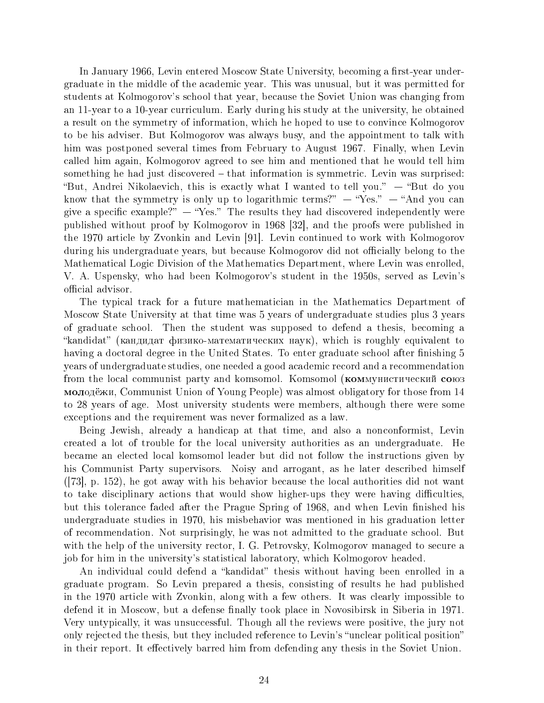In January 1966, Levin entered Moscow State University, becoming a first-year undergraduate in the middle of the academic year. This was unusual, but it was permitted for students at Kolmogorov's school that year, because the Soviet Union was changing from an 11-year to a 10-year curriculum. Early during his study at the university, he obtained a result on the symmetry of information, which he hoped to use to convince Kolmogorov to be his adviser. But Kolmogorov was always busy, and the appointment to talk with him was postponed several times from February to August 1967. Finally, when Levin called him again, Kolmogorov agreed to see him and mentioned that he would tell him something he had just discovered – that information is symmetric. Levin was surprised: "But, Andrei Nikolaevich, this is exactly what I wanted to tell you."  $-$  "But do you know that the symmetry is only up to logarithmic terms?"  $-$  "Yes."  $-$  "And you can give a specific example?"  $-$  "Yes." The results they had discovered independently were published without proof by Kolmogorov in 1968 [32], and the proofs were published in the 1970 article by Zvonkin and Levin [91]. Levin continued to work with Kolmogorov during his undergraduate years, but because Kolmogorov did not officially belong to the Mathematical Logic Division of the Mathematics Department, where Levin was enrolled, V. A. Uspensky, who had been Kolmogorov's student in the 1950s, served as Levin's official advisor.

The typical track for a future mathematician in the Mathematics Department of Moscow State University at that time was 5 years of undergraduate studies plus 3 years of graduate school. Then the student was supposed to defend a thesis, becoming a "kandidat" (кандидат физико-математических наук), which is roughly equivalent to having a doctoral degree in the United States. To enter graduate school after finishing 5 years of undergraduate studies, one needed a good academic record and a recommendation from the local communist party and komsomol. Komsomol (коммунистический союз ìîëî伿è, Communist Union of Young People) was almost obligatory for those from 14 to 28 years of age. Most university students were members, although there were some exceptions and the requirement was never formalized as a law.

Being Jewish, already a handicap at that time, and also a nonconformist, Levin created a lot of trouble for the local university authorities as an undergraduate. He became an elected local komsomol leader but did not follow the instructions given by his Communist Party supervisors. Noisy and arrogant, as he later described himself ([73], p. 152), he got away with his behavior because the local authorities did not want to take disciplinary actions that would show higher-ups they were having difficulties, but this tolerance faded after the Prague Spring of 1968, and when Levin finished his undergraduate studies in 1970, his misbehavior was mentioned in his graduation letter of recommendation. Not surprisingly, he was not admitted to the graduate school. But with the help of the university rector, I. G. Petrovsky, Kolmogorov managed to secure a job for him in the university's statistical laboratory, which Kolmogorov headed.

An individual could defend a "kandidat" thesis without having been enrolled in a graduate program. So Levin prepared a thesis, consisting of results he had published in the 1970 article with Zvonkin, along with a few others. It was clearly impossible to defend it in Moscow, but a defense finally took place in Novosibirsk in Siberia in 1971. Very untypically, it was unsuccessful. Though all the reviews were positive, the jury not only rejected the thesis, but they included reference to Levin's "unclear political position" in their report. It effectively barred him from defending any thesis in the Soviet Union.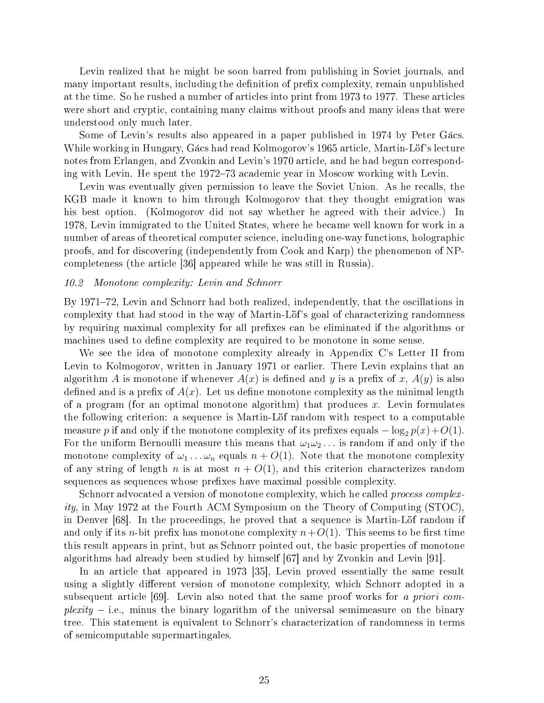Levin realized that he might be soon barred from publishing in Soviet journals, and many important results, including the definition of prefix complexity, remain unpublished at the time. So he rushed a number of articles into print from 1973 to 1977. These articles were short and cryptic, containing many claims without proofs and many ideas that were understood only much later.

Some of Levin's results also appeared in a paper published in 1974 by Peter Gacs. While working in Hungary, Gacs had read Kolmogorov's 1965 article, Martin-Lof's lecture notes from Erlangen, and Zvonkin and Levin's 1970 article, and he had begun corresponding with Levin. He spent the 1972–73 academic year in Moscow working with Levin.

Levin was eventually given permission to leave the Soviet Union. As he recalls, the KGB made it known to him through Kolmogorov that they thought emigration was his best option. (Kolmogorov did not say whether he agreed with their advice.) In 1978, Levin immigrated to the United States, where he became well known for work in a number of areas of theoretical computer science, including one-way functions, holographic proofs, and for discovering (independently from Cook and Karp) the phenomenon of NPcompleteness (the article [36] appeared while he was still in Russia).

# 10.2 Monotone complexity: Levin and Schnorr

By 1971–72, Levin and Schnorr had both realized, independently, that the oscillations in complexity that had stood in the way of Martin-Löf's goal of characterizing randomness by requiring maximal complexity for all prefixes can be eliminated if the algorithms or machines used to define complexity are required to be monotone in some sense.

We see the idea of monotone complexity already in Appendix C's Letter II from Levin to Kolmogorov, written in January 1971 or earlier. There Levin explains that an algorithm A is monotone if whenever  $A(x)$  is defined and y is a prefix of x,  $A(y)$  is also defined and is a prefix of  $A(x)$ . Let us define monotone complexity as the minimal length of a program (for an optimal monotone algorithm) that produces x. Levin formulates the following criterion: a sequence is Martin-Lof random with respect to a computable measure p if and only if the monotone complexity of its prefixes equals  $-\log_2 p(x)+O(1)$ . For the uniform Bernoulli measure this means that  $\omega_1\omega_2 \dots$  is random if and only if the monotone complexity of  $\omega_1 \dots \omega_n$  equals  $n + O(1)$ . Note that the monotone complexity of any string of length n is at most  $n + O(1)$ , and this criterion characterizes random sequences as sequences whose prefixes have maximal possible complexity.

Schnorr advocated a version of monotone complexity, which he called *process complex*ity, in May 1972 at the Fourth ACM Symposium on the Theory of Computing (STOC), in Denver [68]. In the proceedings, he proved that a sequence is Martin-Löf random if and only if its n-bit prefix has monotone complexity  $n+O(1)$ . This seems to be first time this result appears in print, but as Schnorr pointed out, the basic properties of monotone algorithms had already been studied by himself [67] and by Zvonkin and Levin [91].

In an article that appeared in 1973 [35], Levin proved essentially the same result using a slightly different version of monotone complexity, which Schnorr adopted in a subsequent article [69]. Levin also noted that the same proof works for a priori com $plexity - i.e.,$  minus the binary logarithm of the universal semimeasure on the binary tree. This statement is equivalent to Schnorr's characterization of randomness in terms of semicomputable supermartingales.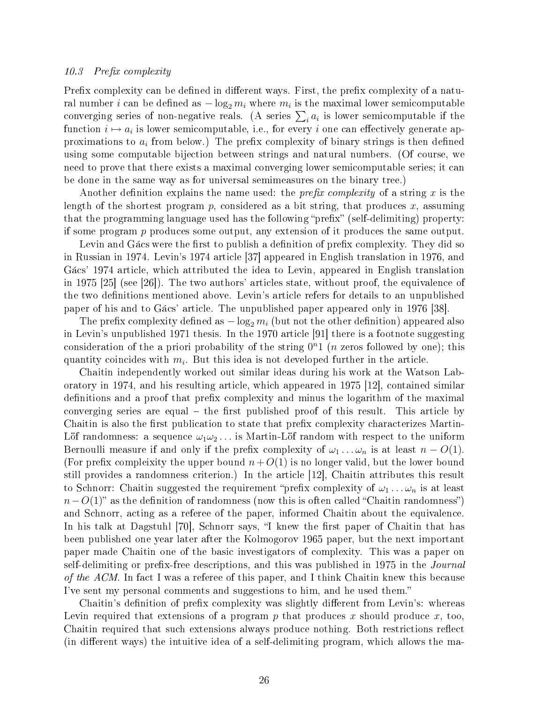#### 10.3 Prefix complexity

Prefix complexity can be defined in different ways. First, the prefix complexity of a natural number  $i$  can be defined as  $-\log_2 m_i$  where  $m_i$  is the maximal lower semicomputable ral number *i* can be defined as  $-\log_2 m_i$  where  $m_i$  is the maximal lower semicomputable if the converging series of non-negative reals. (A series  $\sum_i a_i$  is lower semicomputable if the function  $i \mapsto a_i$  is lower semicomputable, i.e., for every i one can effectively generate approximations to  $a_i$  from below.) The prefix complexity of binary strings is then defined using some computable bijection between strings and natural numbers. (Of course, we need to prove that there exists a maximal converging lower semicomputable series; it can be done in the same way as for universal semimeasures on the binary tree.)

Another definition explains the name used: the *prefix complexity* of a string x is the length of the shortest program p, considered as a bit string, that produces x, assuming that the programming language used has the following "prefix" (self-delimiting) property: if some program p produces some output, any extension of it produces the same output.

Levin and Gacs were the first to publish a definition of prefix complexity. They did so in Russian in 1974. Levin's 1974 article [37] appeared in English translation in 1976, and Gacs' 1974 article, which attributed the idea to Levin, appeared in English translation in 1975 [25] (see [26]). The two authors' articles state, without proof, the equivalence of the two definitions mentioned above. Levin's article refers for details to an unpublished paper of his and to Gacs' article. The unpublished paper appeared only in 1976 [38].

The prefix complexity defined as  $-\log_2 m_i$  (but not the other definition) appeared also in Levin's unpublished 1971 thesis. In the 1970 article [91] there is a footnote suggesting consideration of the a priori probability of the string  $0<sup>n</sup>1$  (*n* zeros followed by one); this quantity coincides with  $m_i$ . But this idea is not developed further in the article.

Chaitin independently worked out similar ideas during his work at the Watson Laboratory in 1974, and his resulting article, which appeared in 1975 [12], contained similar definitions and a proof that prefix complexity and minus the logarithm of the maximal converging series are equal  $-$  the first published proof of this result. This article by Chaitin is also the first publication to state that prefix complexity characterizes Martin-Löf randomness: a sequence  $\omega_1\omega_2\ldots$  is Martin-Löf random with respect to the uniform Bernoulli measure if and only if the prefix complexity of  $\omega_1 \dots \omega_n$  is at least  $n - O(1)$ . (For prefix compleixity the upper bound  $n+O(1)$  is no longer valid, but the lower bound still provides a randomness criterion.) In the article [12], Chaitin attributes this result to Schnorr: Chaitin suggested the requirement "prefix complexity of  $\omega_1 \dots \omega_n$  is at least  $n-O(1)$ " as the definition of randomness (now this is often called "Chaitin randomness") and Schnorr, acting as a referee of the paper, informed Chaitin about the equivalence. In his talk at Dagstuhl [70], Schnorr says, "I knew the first paper of Chaitin that has been published one year later after the Kolmogorov 1965 paper, but the next important paper made Chaitin one of the basic investigators of complexity. This was a paper on self-delimiting or prefix-free descriptions, and this was published in 1975 in the *Journal* of the ACM. In fact I was a referee of this paper, and I think Chaitin knew this because I've sent my personal comments and suggestions to him, and he used them.

Chaitin's definition of prefix complexity was slightly different from Levin's: whereas Levin required that extensions of a program  $p$  that produces  $x$  should produce  $x$ , too, Chaitin required that such extensions always produce nothing. Both restrictions reflect (in different ways) the intuitive idea of a self-delimiting program, which allows the ma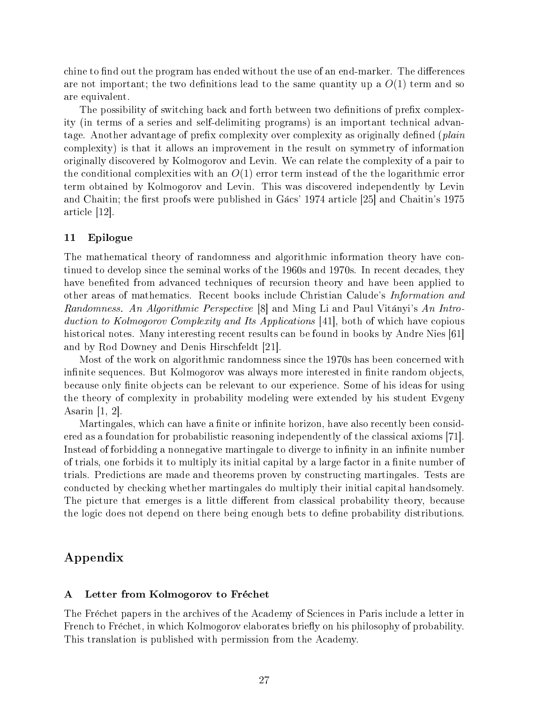chine to find out the program has ended without the use of an end-marker. The differences are not important; the two definitions lead to the same quantity up a  $O(1)$  term and so are equivalent.

The possibility of switching back and forth between two definitions of prefix complexity (in terms of a series and self-delimiting programs) is an important technical advantage. Another advantage of prefix complexity over complexity as originally defined (*plain* complexity) is that it allows an improvement in the result on symmetry of information originally discovered by Kolmogorov and Levin. We can relate the complexity of a pair to the conditional complexities with an  $O(1)$  error term instead of the the logarithmic error term obtained by Kolmogorov and Levin. This was discovered independently by Levin and Chaitin; the first proofs were published in Gacs' 1974 article [25] and Chaitin's 1975 article [12].

# 11 Epilogue

The mathematical theory of randomness and algorithmic information theory have continued to develop since the seminal works of the 1960s and 1970s. In recent decades, they have benefited from advanced techniques of recursion theory and have been applied to other areas of mathematics. Recent books include Christian Calude's Information and Randomness. An Algorithmic Perspective [8] and Ming Li and Paul Vitanyi's An Introduction to Kolmogorov Complexity and Its Applications [41], both of which have copious historical notes. Many interesting recent results can be found in books by Andre Nies [61] and by Rod Downey and Denis Hirschfeldt [21].

Most of the work on algorithmic randomness since the 1970s has been concerned with infinite sequences. But Kolmogorov was always more interested in finite random objects, because only finite objects can be relevant to our experience. Some of his ideas for using the theory of complexity in probability modeling were extended by his student Evgeny Asarin [1, 2].

Martingales, which can have a finite or infinite horizon, have also recently been considered as a foundation for probabilistic reasoning independently of the classical axioms [71]. Instead of forbidding a nonnegative martingale to diverge to infinity in an infinite number of trials, one forbids it to multiply its initial capital by a large factor in a finite number of trials. Predictions are made and theorems proven by constructing martingales. Tests are conducted by checking whether martingales do multiply their initial capital handsomely. The picture that emerges is a little different from classical probability theory, because the logic does not depend on there being enough bets to dene probability distributions.

# Appendix

# A Letter from Kolmogorov to Fréchet

The Fréchet papers in the archives of the Academy of Sciences in Paris include a letter in French to Fréchet, in which Kolmogorov elaborates briefly on his philosophy of probability. This translation is published with permission from the Academy.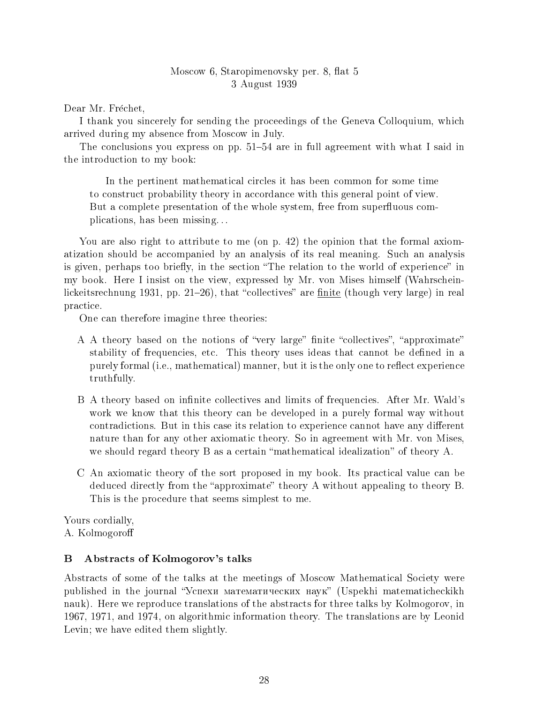# Moscow 6, Staropimenovsky per. 8, flat 5 3 August 1939

Dear Mr. Fréchet,

I thank you sincerely for sending the proceedings of the Geneva Colloquium, which arrived during my absence from Moscow in July.

The conclusions you express on pp.  $51-54$  are in full agreement with what I said in the introduction to my book:

In the pertinent mathematical circles it has been common for some time to construct probability theory in accordance with this general point of view. But a complete presentation of the whole system, free from superfluous complications, has been missing. . .

You are also right to attribute to me (on p. 42) the opinion that the formal axiomatization should be accompanied by an analysis of its real meaning. Such an analysis is given, perhaps too briefly, in the section "The relation to the world of experience" in my book. Here I insist on the view, expressed by Mr. von Mises himself (Wahrscheinlickeitsrechnung 1931, pp. 21–26), that "collectives" are  $\frac{finite}{f}$  (though very large) in real practice.

One can therefore imagine three theories:

- A A theory based on the notions of "very large" finite "collectives", "approximate" stability of frequencies, etc. This theory uses ideas that cannot be defined in a purely formal (i.e., mathematical) manner, but it is the only one to reflect experience truthfully.
- B A theory based on infinite collectives and limits of frequencies. After Mr. Wald's work we know that this theory can be developed in a purely formal way without contradictions. But in this case its relation to experience cannot have any different nature than for any other axiomatic theory. So in agreement with Mr. von Mises, we should regard theory  $B$  as a certain "mathematical idealization" of theory  $A$ .
- C An axiomatic theory of the sort proposed in my book. Its practical value can be deduced directly from the "approximate" theory A without appealing to theory B. This is the procedure that seems simplest to me.

Yours cordially,

A. Kolmogoro

# B Abstracts of Kolmogorov's talks

Abstracts of some of the talks at the meetings of Moscow Mathematical Society were published in the journal "Успехи математических наук" (Uspekhi matematicheckikh nauk). Here we reproduce translations of the abstracts for three talks by Kolmogorov, in 1967, 1971, and 1974, on algorithmic information theory. The translations are by Leonid Levin; we have edited them slightly.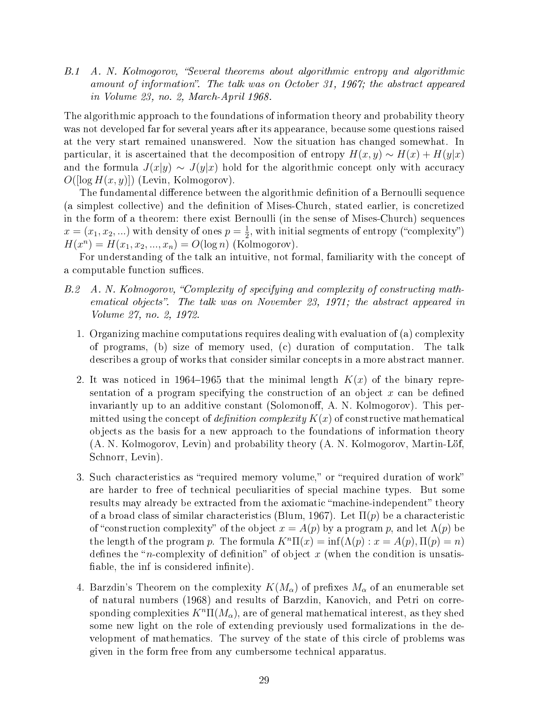B.1 A. N. Kolmogorov, Several theorems about algorithmic entropy and algorithmic amount of information". The talk was on October 31, 1967; the abstract appeared in Volume 23, no. 2, March-April 1968.

The algorithmic approach to the foundations of information theory and probability theory was not developed far for several years after its appearance, because some questions raised at the very start remained unanswered. Now the situation has changed somewhat. In particular, it is ascertained that the decomposition of entropy  $H(x, y) \sim H(x) + H(y|x)$ and the formula  $J(x|y) \sim J(y|x)$  hold for the algorithmic concept only with accuracy  $O([log H(x, y)])$  (Levin, Kolmogorov).

The fundamental difference between the algorithmic definition of a Bernoulli sequence (a simplest collective) and the denition of Mises-Church, stated earlier, is concretized in the form of a theorem: there exist Bernoulli (in the sense of Mises-Church) sequences  $x = (x_1, x_2, ...)$  with density of ones  $p = \frac{1}{2}$  $\frac{1}{2}$ , with initial segments of entropy ("complexity")  $H(x^n) = H(x_1, x_2, ..., x_n) = O(\log n)$  (Kolmogorov).

For understanding of the talk an intuitive, not formal, familiarity with the concept of a computable function suffices.

- B.2 A. N. Kolmogorov, "Complexity of specifying and complexity of constructing mathematical objects". The talk was on November 23, 1971; the abstract appeared in Volume 27, no. 2, 1972.
	- 1. Organizing machine computations requires dealing with evaluation of (a) complexity of programs, (b) size of memory used, (c) duration of computation. The talk describes a group of works that consider similar concepts in a more abstract manner.
	- 2. It was noticed in 1964–1965 that the minimal length  $K(x)$  of the binary representation of a program specifying the construction of an object  $x$  can be defined invariantly up to an additive constant (Solomonoff, A. N. Kolmogorov). This permitted using the concept of *definition complexity*  $K(x)$  of constructive mathematical objects as the basis for a new approach to the foundations of information theory (A. N. Kolmogorov, Levin) and probability theory (A. N. Kolmogorov, Martin-Lof, Schnorr, Levin).
	- 3. Such characteristics as "required memory volume," or "required duration of work" are harder to free of technical peculiarities of special machine types. But some results may already be extracted from the axiomatic "machine-independent" theory of a broad class of similar characteristics (Blum, 1967). Let  $\Pi(p)$  be a characteristic of "construction complexity" of the object  $x = A(p)$  by a program p, and let  $\Lambda(p)$  be the length of the program p. The formula  $K^{n}\Pi(x) = \inf(\Lambda(p) : x = A(p), \Pi(p) = n)$ defines the "*n*-complexity of definition" of object x (when the condition is unsatisfiable, the inf is considered infinite).
	- 4. Barzdin's Theorem on the complexity  $K(M_\alpha)$  of prefixes  $M_\alpha$  of an enumerable set of natural numbers (1968) and results of Barzdin, Kanovich, and Petri on corresponding complexities  $K^n\Pi(M_\alpha)$ , are of general mathematical interest, as they shed some new light on the role of extending previously used formalizations in the development of mathematics. The survey of the state of this circle of problems was given in the form free from any cumbersome technical apparatus.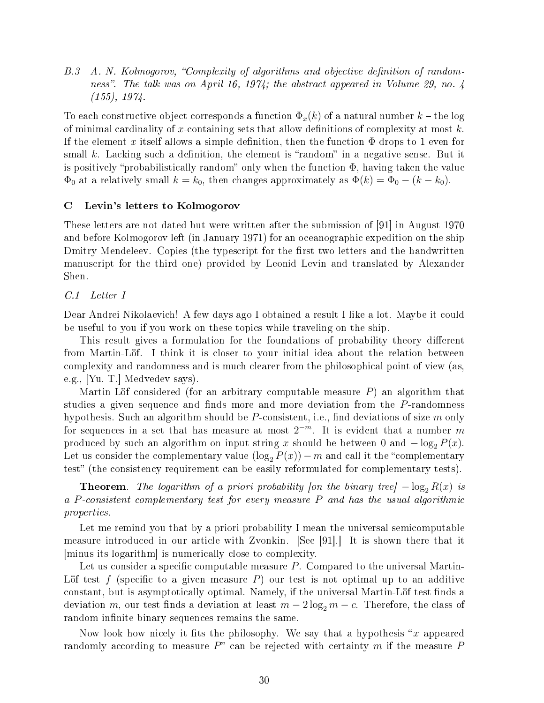B.3 A. N. Kolmogorov, "Complexity of algorithms and objective definition of randomness". The talk was on April 16, 1974; the abstract appeared in Volume 29, no. 4 (155), 1974.

To each constructive object corresponds a function  $\Phi_x(k)$  of a natural number  $k$  – the log of minimal cardinality of x-containing sets that allow definitions of complexity at most  $k$ . If the element x itself allows a simple definition, then the function  $\Phi$  drops to 1 even for small  $k$ . Lacking such a definition, the element is "random" in a negative sense. But it is positively "probabilistically random" only when the function  $\Phi$ , having taken the value  $\Phi_0$  at a relatively small  $k = k_0$ , then changes approximately as  $\Phi(k) = \Phi_0 - (k - k_0)$ .

# C Levin's letters to Kolmogorov

These letters are not dated but were written after the submission of [91] in August 1970 and before Kolmogorov left (in January 1971) for an oceanographic expedition on the ship Dmitry Mendeleev. Copies (the typescript for the first two letters and the handwritten manuscript for the third one) provided by Leonid Levin and translated by Alexander Shen.

# C.1 Letter I

Dear Andrei Nikolaevich! A few days ago I obtained a result I like a lot. Maybe it could be useful to you if you work on these topics while traveling on the ship.

This result gives a formulation for the foundations of probability theory different from Martin-Lof. I think it is closer to your initial idea about the relation between complexity and randomness and is much clearer from the philosophical point of view (as, e.g., [Yu. T.] Medvedev says).

Martin-Löf considered (for an arbitrary computable measure  $P$ ) an algorithm that studies a given sequence and finds more and more deviation from the P-randomness hypothesis. Such an algorithm should be  $P$ -consistent, i.e., find deviations of size  $m$  only for sequences in a set that has measure at most  $2^{-m}$ . It is evident that a number m produced by such an algorithm on input string x should be between 0 and  $-\log_2 P(x)$ . Let us consider the complementary value  $(\log_2 P(x)) - m$  and call it the "complementary" test" (the consistency requirement can be easily reformulated for complementary tests).

**Theorem.** The logarithm of a priori probability [on the binary tree]  $-\log_2 R(x)$  is a P-consistent complementary test for every measure  $P$  and has the usual algorithmic properties.

Let me remind you that by a priori probability I mean the universal semicomputable measure introduced in our article with Zvonkin. [See [91].] It is shown there that it [minus its logarithm] is numerically close to complexity.

Let us consider a specific computable measure  $P$ . Compared to the universal Martin-Lot test f (specific to a given measure P) our test is not optimal up to an additive constant, but is asymptotically optimal. Namely, if the universal Martin-Löf test finds a deviation m, our test finds a deviation at least  $m - 2 \log_2 m - c$ . Therefore, the class of random infinite binary sequences remains the same.

Now look how nicely it fits the philosophy. We say that a hypothesis "x appeared randomly according to measure  $P^{\prime\prime}$  can be rejected with certainty m if the measure P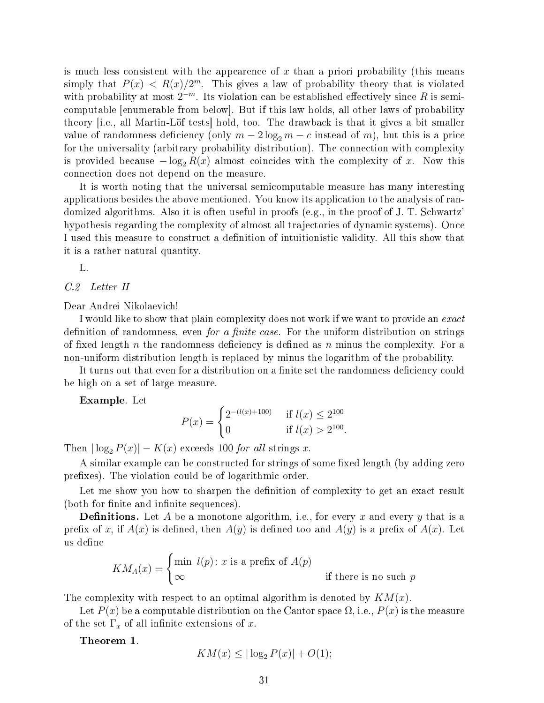is much less consistent with the appearence of  $x$  than a priori probability (this means simply that  $P(x) < R(x)/2^m$ . This gives a law of probability theory that is violated with probability at most  $2^{-m}$ . Its violation can be established effectively since R is semicomputable [enumerable from below]. But if this law holds, all other laws of probability theory [i.e., all Martin-Lof tests] hold, too. The drawback is that it gives a bit smaller value of randomness deficiency (only  $m - 2 \log_2 m - c$  instead of m), but this is a price for the universality (arbitrary probability distribution). The connection with complexity is provided because  $-\log_2 R(x)$  almost coincides with the complexity of x. Now this connection does not depend on the measure.

It is worth noting that the universal semicomputable measure has many interesting applications besides the above mentioned. You know its application to the analysis of randomized algorithms. Also it is often useful in proofs (e.g., in the proof of J. T. Schwartz' hypothesis regarding the complexity of almost all trajectories of dynamic systems). Once I used this measure to construct a denition of intuitionistic validity. All this show that it is a rather natural quantity.

L.

C.2 Letter II

Dear Andrei Nikolaevich!

I would like to show that plain complexity does not work if we want to provide an exact definition of randomness, even *for a finite case*. For the uniform distribution on strings of fixed length n the randomness deficiency is defined as n minus the complexity. For a non-uniform distribution length is replaced by minus the logarithm of the probability.

It turns out that even for a distribution on a finite set the randomness deficiency could be high on a set of large measure.

Example. Let

$$
P(x) = \begin{cases} 2^{-(l(x)+100)} & \text{if } l(x) \le 2^{100} \\ 0 & \text{if } l(x) > 2^{100}. \end{cases}
$$

Then  $|\log_2 P(x)| - K(x)$  exceeds 100 for all strings x.

A similar example can be constructed for strings of some fixed length (by adding zero prefixes). The violation could be of logarithmic order.

Let me show you how to sharpen the definition of complexity to get an exact result (both for finite and infinite sequences).

**Definitions.** Let A be a monotone algorithm, i.e., for every x and every y that is a prefix of x, if  $A(x)$  is defined, then  $A(y)$  is defined too and  $A(y)$  is a prefix of  $A(x)$ . Let us define

$$
KM_A(x) = \begin{cases} \min \ l(p) \colon x \text{ is a prefix of } A(p) \\ \infty \end{cases}
$$
 if there is no such p

The complexity with respect to an optimal algorithm is denoted by  $KM(x)$ .

Let  $P(x)$  be a computable distribution on the Cantor space  $\Omega$ , i.e.,  $P(x)$  is the measure of the set  $\Gamma_x$  of all infinite extensions of x.

Theorem 1.

$$
KM(x) \le |\log_2 P(x)| + O(1);
$$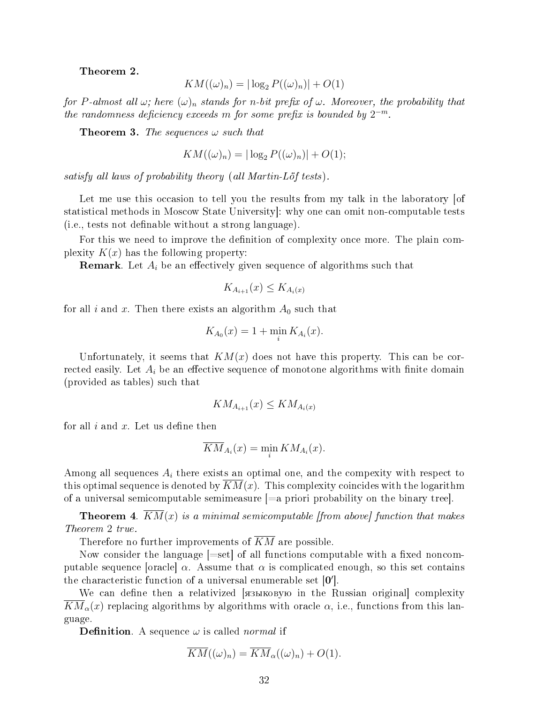Theorem 2.

$$
KM((\omega)_n) = |\log_2 P((\omega)_n)| + O(1)
$$

for P-almost all  $\omega$ ; here  $(\omega)_n$  stands for n-bit prefix of  $\omega$ . Moreover, the probability that the randomness deficiency exceeds m for some prefix is bounded by  $2^{-m}$ .

**Theorem 3.** The sequences  $\omega$  such that

$$
KM((\omega)_n) = |\log_2 P((\omega)_n)| + O(1);
$$

satisfy all laws of probability theory (all Martin-Löf tests).

Let me use this occasion to tell you the results from my talk in the laboratory of statistical methods in Moscow State University]: why one can omit non-computable tests (i.e., tests not denable without a strong language).

For this we need to improve the definition of complexity once more. The plain complexity  $K(x)$  has the following property:

**Remark**. Let  $A_i$  be an effectively given sequence of algorithms such that

$$
K_{A_{i+1}}(x) \leq K_{A_i(x)}
$$

for all i and x. Then there exists an algorithm  $A_0$  such that

$$
K_{A_0}(x) = 1 + \min_i K_{A_i}(x).
$$

Unfortunately, it seems that  $KM(x)$  does not have this property. This can be corrected easily. Let  $A_i$  be an effective sequence of monotone algorithms with finite domain (provided as tables) such that

$$
KM_{A_{i+1}}(x) \leq KM_{A_i(x)}
$$

for all  $i$  and  $x$ . Let us define then

$$
\overline{KM}_{A_i}(x) = \min_i KM_{A_i}(x).
$$

Among all sequences  $A_i$  there exists an optimal one, and the compexity with respect to this optimal sequence is denoted by  $KM(x)$ . This complexity coincides with the logarithm of a universal semicomputable semimeasure [=a priori probability on the binary tree].

**Theorem 4.**  $KM(x)$  is a minimal semicomputable [from above] function that makes Theorem 2 true.

Therefore no further improvements of  $\overline{KM}$  are possible.

Now consider the language  $[=set]$  of all functions computable with a fixed noncomputable sequence [oracle]  $\alpha$ . Assume that  $\alpha$  is complicated enough, so this set contains the characteristic function of a universal enumerable set  $[0']$ .

We can define then a relativized **[** $\alpha$ ]  $\beta$ <sup>2</sup> is the Russian original complexity  $KM_{\alpha}(x)$  replacing algorithms by algorithms with oracle  $\alpha$ , i.e., functions from this language.

**Definition.** A sequence  $\omega$  is called *normal* if

$$
\overline{KM}((\omega)_n) = \overline{KM}_{\alpha}((\omega)_n) + O(1).
$$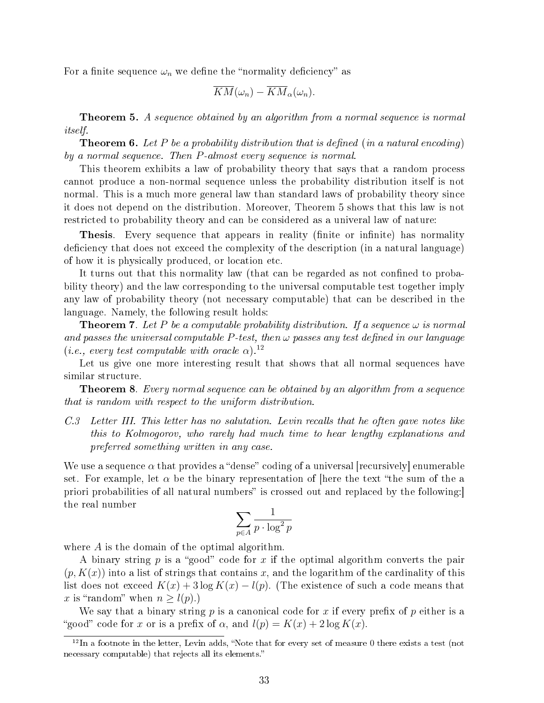For a finite sequence  $\omega_n$  we define the "normality deficiency" as

$$
\overline{KM}(\omega_n)-\overline{KM}_{\alpha}(\omega_n).
$$

**Theorem 5.** A sequence obtained by an algorithm from a normal sequence is normal itself.

**Theorem 6.** Let P be a probability distribution that is defined (in a natural encoding) by a normal sequence. Then P-almost every sequence is normal.

This theorem exhibits a law of probability theory that says that a random process cannot produce a non-normal sequence unless the probability distribution itself is not normal. This is a much more general law than standard laws of probability theory since it does not depend on the distribution. Moreover, Theorem 5 shows that this law is not restricted to probability theory and can be considered as a univeral law of nature:

Thesis. Every sequence that appears in reality (finite or infinite) has normality deficiency that does not exceed the complexity of the description (in a natural language) of how it is physically produced, or location etc.

It turns out that this normality law (that can be regarded as not confined to probability theory) and the law corresponding to the universal computable test together imply any law of probability theory (not necessary computable) that can be described in the language. Namely, the following result holds:

**Theorem 7.** Let P be a computable probability distribution. If a sequence  $\omega$  is normal and passes the universal computable  $P$ -test, then  $\omega$  passes any test defined in our language (*i.e.*, every test computable with oracle  $\alpha$ ).<sup>12</sup>

Let us give one more interesting result that shows that all normal sequences have similar structure.

**Theorem 8.** Every normal sequence can be obtained by an algorithm from a sequence that is random with respect to the uniform distribution.

C.3 Letter III. This letter has no salutation. Levin recalls that he often gave notes like this to Kolmogorov, who rarely had much time to hear lengthy explanations and preferred something written in any case.

We use a sequence  $\alpha$  that provides a "dense" coding of a universal [recursively] enumerable set. For example, let  $\alpha$  be the binary representation of [here the text "the sum of the a priori probabilities of all natural numbers" is crossed out and replaced by the following: the real number

$$
\sum_{p \in A} \frac{1}{p \cdot \log^2 p}
$$

where A is the domain of the optimal algorithm.

A binary string p is a "good" code for x if the optimal algorithm converts the pair  $(p, K(x))$  into a list of strings that contains x, and the logarithm of the cardinality of this list does not exceed  $K(x) + 3 \log K(x) - l(p)$ . (The existence of such a code means that x is "random" when  $n \geq l(p)$ .)

We say that a binary string  $p$  is a canonical code for  $x$  if every prefix of  $p$  either is a "good" code for x or is a prefix of  $\alpha$ , and  $l(p) = K(x) + 2 \log K(x)$ .

 $12 \text{ In a footnote in the letter, Levin adds, "Note that for every set of measure 0 there exists a test (not$ necessary computable) that rejects all its elements.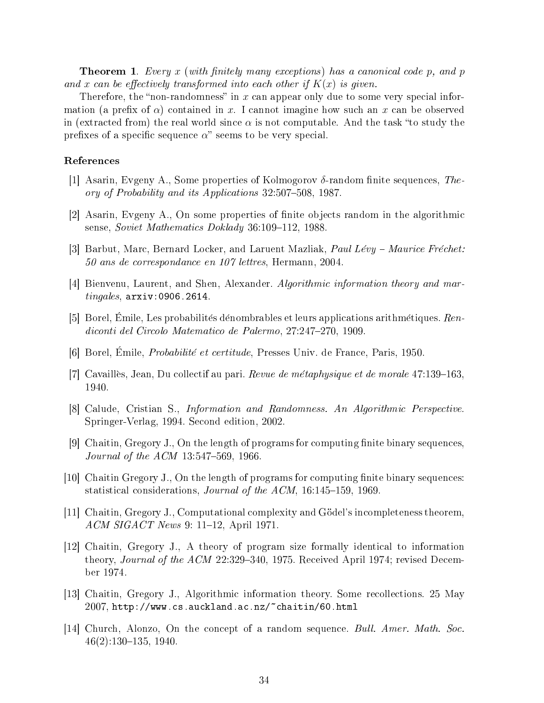**Theorem 1.** Every x (with finitely many exceptions) has a canonical code p, and p and x can be effectively transformed into each other if  $K(x)$  is given.

Therefore, the "non-randomness" in x can appear only due to some very special information (a prefix of  $\alpha$ ) contained in x. I cannot imagine how such an x can be observed in (extracted from) the real world since  $\alpha$  is not computable. And the task "to study the prefixes of a specific sequence  $\alpha$ " seems to be very special.

# References

- [1] Asarin, Evgeny A., Some properties of Kolmogorov  $\delta$ -random finite sequences, Theory of Probability and its Applications  $32:507-508$ , 1987.
- [2] Asarin, Evgeny A., On some properties of nite objects random in the algorithmic sense, Soviet Mathematics Doklady 36:109-112, 1988.
- [3] Barbut, Marc, Bernard Locker, and Laruent Mazliak, *Paul Lévy Maurice Fréchet:* 50 ans de correspondance en 107 lettres, Hermann, 2004.
- [4] Bienvenu, Laurent, and Shen, Alexander. Algorithmic information theory and martingales, arxiv:0906.2614.
- [5] Borel, Emile, Les probabilités dénombrables et leurs applications arithmétiques.  $Ren$ diconti del Circolo Matematico de Palermo, 27:247-270, 1909.
- [6] Borel, Emile, Probabilite et certitude, Presses Univ. de France, Paris, 1950.
- [7] Cavailles, Jean, Du collectif au pari. Revue de métaphysique et de morale  $47:139-163$ . 1940.
- [8] Calude, Cristian S., Information and Randomness. An Algorithmic Perspective. Springer-Verlag, 1994. Second edition, 2002.
- [9] Chaitin, Gregory J., On the length of programs for computing finite binary sequences, *Journal of the ACM*  $13:547-569$ , 1966.
- $[10]$  Chaitin Gregory J., On the length of programs for computing finite binary sequences: statistical considerations, *Journal of the ACM*, 16:145-159, 1969.
- [11] Chaitin, Gregory J., Computational complexity and Godel's incompleteness theorem,  $ACM SIGACT News 9: 11–12, April 1971.$
- [12] Chaitin, Gregory J., A theory of program size formally identical to information theory, *Journal of the ACM* 22:329–340, 1975. Received April 1974; revised December 1974.
- [13] Chaitin, Gregory J., Algorithmic information theory. Some recollections. 25 May  $2007$ , http://www.cs.auckland.ac.nz/~chaitin/60.html
- [14] Church, Alonzo, On the concept of a random sequence. Bull. Amer. Math. Soc.  $46(2):130-135$ , 1940.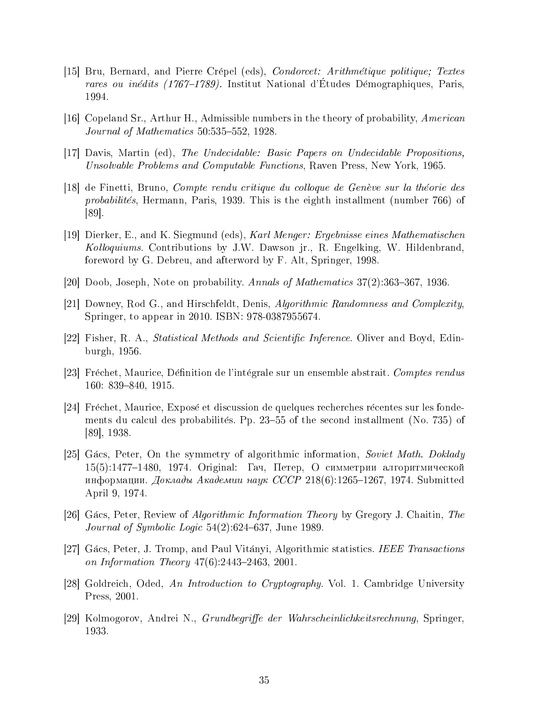- [15] Bru, Bernard, and Pierre Crepel (eds), Condorcet: Arithmetique politique; Textes rares ou inédits  $(1767-1789)$ . Institut National d'Études Démographiques, Paris, 1994.
- [16] Copeland Sr., Arthur H., Admissible numbers in the theory of probability, American Journal of Mathematics  $50:535-552$ , 1928.
- [17] Davis, Martin (ed), The Undecidable: Basic Papers on Undecidable Propositions, Unsolvable Problems and Computable Functions, Raven Press, New York, 1965.
- [18] de Finetti, Bruno, Compte rendu critique du colloque de Geneve sur la theorie des probabilités, Hermann, Paris, 1939. This is the eighth installment (number 766) of [89].
- [19] Dierker, E., and K. Siegmund (eds), Karl Menger: Ergebnisse eines Mathematischen Kolloquiums. Contributions by J.W. Dawson jr., R. Engelking, W. Hildenbrand, foreword by G. Debreu, and afterword by F. Alt, Springer, 1998.
- [20] Doob, Joseph, Note on probability. Annals of Mathematics  $37(2)$ :363–367, 1936.
- [21] Downey, Rod G., and Hirschfeldt, Denis, Algorithmic Randomness and Complexity, Springer, to appear in 2010. ISBN: 978-0387955674.
- [22] Fisher, R. A., *Statistical Methods and Scientific Inference*. Oliver and Boyd, Edinburgh, 1956.
- [23] Fréchet, Maurice, Définition de l'intégrale sur un ensemble abstrait. Comptes rendus 160: 839-840, 1915.
- [24] Frechet, Maurice, Expose et discussion de quelques recherches recentes sur les fondements du calcul des probabilités. Pp. 23–55 of the second installment (No. 735) of [89], 1938.
- [25] Gács, Peter, On the symmetry of algorithmic information, Soviet Math. Doklady  $15(5):1477-1480, 1974.$  Original: Гач, Петер, О симметрии алгоритмической информации. Доклады Академии наук СССР 218(6):1265-1267, 1974. Submitted April 9, 1974.
- [26] Gacs, Peter, Review of Algorithmic Information Theory by Gregory J. Chaitin, The Journal of Symbolic Logic  $54(2)$ :624-637, June 1989.
- [27] Gacs, Peter, J. Tromp, and Paul Vitanyi, Algorithmic statistics. IEEE Transactions on Information Theory  $47(6)$ : 2443-2463, 2001.
- [28] Goldreich, Oded, An Introduction to Cryptography. Vol. 1. Cambridge University Press, 2001.
- [29] Kolmogorov, Andrei N., *Grundbegriffe der Wahrscheinlichkeitsrechnung*, Springer, 1933.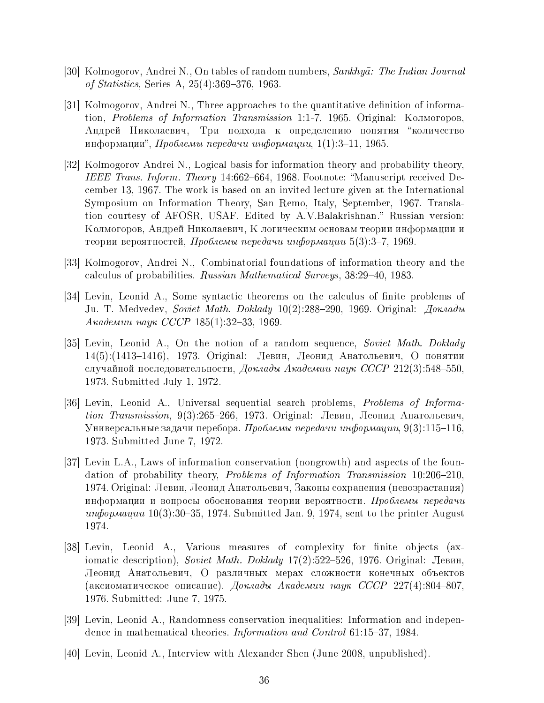- [30] Kolmogorov, Andrei N., On tables of random numbers, Sankhyā: The Indian Journal of Statistics, Series A,  $25(4)$ :369-376, 1963.
- [31] Kolmogorov, Andrei N., Three approaches to the quantitative definition of information, *Problems of Information Transmission* 1:1-7, 1965. Original: Колмогоров, Андрей Николаевич, Три подхода к определению понятия "количество информации", Проблемы передачи информации,  $1(1):3-11$ , 1965.
- [32] Kolmogorov Andrei N., Logical basis for information theory and probability theory, IEEE Trans. Inform. Theory 14:662–664, 1968. Footnote: "Manuscript received December 13, 1967. The work is based on an invited lecture given at the International Symposium on Information Theory, San Remo, Italy, September, 1967. Translation courtesy of AFOSR, USAF. Edited by A.V.Balakrishnan." Russian version: Колмогоров, Андрей Николаевич, К логическим основам теории информации и теории вероятностей, Проблемы передачи информации 5(3):3-7, 1969.
- [33] Kolmogorov, Andrei N., Combinatorial foundations of information theory and the calculus of probabilities. Russian Mathematical Surveys,  $38:29-40$ ,  $1983$ .
- [34] Levin, Leonid A., Some syntactic theorems on the calculus of nite problems of Ju. T. Medvedev, Soviet Math. Doklady 10(2):288-290, 1969. Original: Доклады  $A$ кадемии наук СССР 185(1):32-33, 1969.
- [35] Levin, Leonid A., On the notion of a random sequence, Soviet Math. Doklady 14(5):(1413-1416), 1973. Original: Левин, Леонид Анатольевич, О понятии случайной последовательности, Доклады Академии наук СССР 212(3):548-550. 1973. Submitted July 1, 1972.
- [36] Levin, Leonid A., Universal sequential search problems, Problems of Information Transmission, 9(3):265–266, 1973. Original: Левин, Леонид Анатольевич, Универсальные задачи перебора. Проблемы передачи информации, 9(3):115–116. 1973. Submitted June 7, 1972.
- [37] Levin L.A., Laws of information conservation (nongrowth) and aspects of the foundation of probability theory, *Problems of Information Transmission*  $10:206-210$ . 1974. Original: Левин, Леонид Анатольевич, Законы сохранения (невозрастания) информации и вопросы обоснования теории вероятности. Проблемы передачи undopmayau  $10(3):30-35$ , 1974. Submitted Jan. 9, 1974, sent to the printer August 1974.
- [38] Levin, Leonid A., Various measures of complexity for finite objects (axiomatic description), Soviet Math. Doklady  $17(2)$ :522-526, 1976. Original: Левин, Леонид Анатольевич, О различных мерах сложности конечных объектов (аксиоматическое описание). Доклады Академии наук СССР 227(4):804-807, 1976. Submitted: June 7, 1975.
- [39] Levin, Leonid A., Randomness conservation inequalities: Information and independence in mathematical theories. *Information and Control* 61:15-37, 1984.
- [40] Levin, Leonid A., Interview with Alexander Shen (June 2008, unpublished).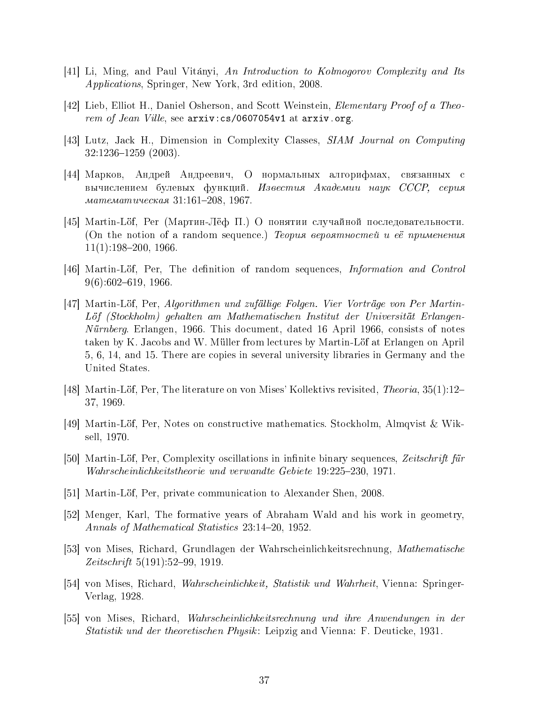- [41] Li, Ming, and Paul Vitanyi, An Introduction to Kolmogorov Complexity and Its Applications, Springer, New York, 3rd edition, 2008.
- [42] Lieb, Elliot H., Daniel Osherson, and Scott Weinstein, Elementary Proof of a Theorem of Jean Ville, see  $arxiv:cs/0607054v1$  at  $arxiv.$ org.
- [43] Lutz, Jack H., Dimension in Complexity Classes, SIAM Journal on Computing 32:1236-1259 (2003).
- [44] Марков, Андрей Андреевич, О нормальных алгорифмах, связанных с <u>вычислением булевых функций. Известия Академии наук СССР, серия</u> ìàòåìàòè÷åñêàÿ 31:161208, 1967.
- $[45]$  Martin-Löf, Per (Мартин-Лёф П.) О понятии случайной последовательности. (On the notion of a random sequence.) *Теория вероятностей и её применения*  $11(1):198-200, 1966.$
- [46] Martin-Löf, Per, The definition of random sequences, *Information and Control*  $9(6):602-619, 1966.$
- [47] Martin-Lof, Per, Algorithmen und zufallige Folgen. Vier Vortrage von Per Martin-Lof (Stockholm) gehalten am Mathematischen Institut der Universitat Erlangen-Nürnberg. Erlangen, 1966. This document, dated 16 April 1966, consists of notes taken by K. Jacobs and W. Müller from lectures by Martin-Löf at Erlangen on April 5, 6, 14, and 15. There are copies in several university libraries in Germany and the United States.
- [48] Martin-Löf, Per, The literature on von Mises' Kollektivs revisited, *Theoria*,  $35(1):12-$ 37, 1969.
- [49] Martin-Lof, Per, Notes on constructive mathematics. Stockholm, Almqvist & Wiksell, 1970.
- [50] Martin-Löf, Per, Complexity oscillations in infinite binary sequences, Zeitschrift für Wahrscheinlichkeitstheorie und verwandte Gebiete 19:225–230, 1971.
- [51] Martin-Lof, Per, private communication to Alexander Shen, 2008.
- [52] Menger, Karl, The formative years of Abraham Wald and his work in geometry, Annals of Mathematical Statistics 23:14-20, 1952.
- [53] von Mises, Richard, Grundlagen der Wahrscheinlichkeitsrechnung, Mathematische  $Zeitschrift 5(191):52-99, 1919.$
- [54] von Mises, Richard, Wahrscheinlichkeit, Statistik und Wahrheit, Vienna: Springer-Verlag, 1928.
- [55] von Mises, Richard, Wahrscheinlichkeitsrechnung und ihre Anwendungen in der Statistik und der theoretischen Physik: Leipzig and Vienna: F. Deuticke, 1931.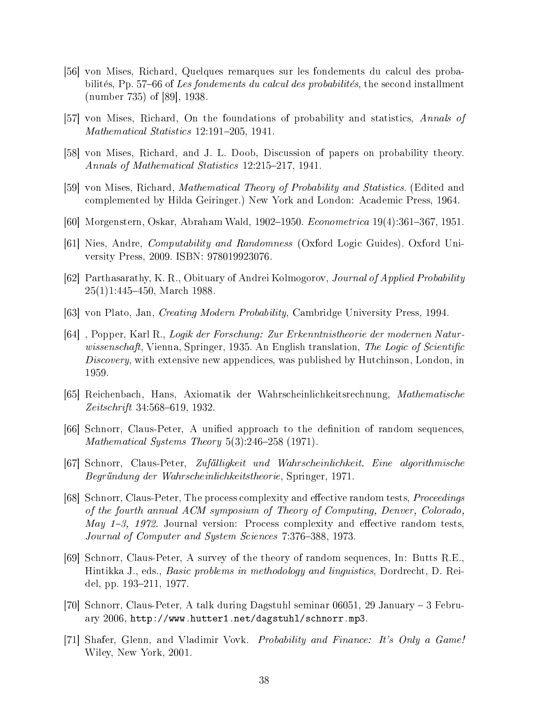- [56] von Mises, Richard, Quelques remarques sur les fondements du calcul des probabilités, Pp. 57–66 of Les fondements du calcul des probabilités, the second installment (number 735) of [89], 1938.
- [57] von Mises, Richard, On the foundations of probability and statistics, Annals of Mathematical Statistics 12:191-205, 1941.
- [58] von Mises, Richard, and J. L. Doob, Discussion of papers on probability theory. Annals of Mathematical Statistics 12:215-217, 1941.
- [59] von Mises, Richard, *Mathematical Theory of Probability and Statistics.* (Edited and complemented by Hilda Geiringer.) New York and London: Academic Press, 1964.
- [60] Morgenstern, Oskar, Abraham Wald, 1902–1950. *Econometrica* 19(4):361–367, 1951.
- [61] Nies, Andre, Computability and Randomness (Oxford Logic Guides). Oxford University Press, 2009. ISBN: 978019923076.
- [62] Parthasarathy, K. R., Obituary of Andrei Kolmogorov, Journal of Applied Probability  $25(1)1:445-450$ , March 1988.
- [63] von Plato, Jan, Creating Modern Probability, Cambridge University Press, 1994.
- [64] , Popper, Karl R., Logik der Forschung: Zur Erkenntnistheorie der modernen Naturwissenschaft, Vienna, Springer, 1935. An English translation, The Logic of Scientific Discovery, with extensive new appendices, was published by Hutchinson, London, in 1959.
- [65] Reichenbach, Hans, Axiomatik der Wahrscheinlichkeitsrechnung, Mathematische  $Zeitschrift 34:568–619, 1932.$
- [66] Schnorr, Claus-Peter, A unified approach to the definition of random sequences. Mathematical Systems Theory  $5(3):246-258$  (1971).
- [67] Schnorr, Claus-Peter, Zufalligkeit und Wahrscheinlichkeit. Eine algorithmische Begrundung der Wahrscheinlichkeitstheorie, Springer, 1971.
- [68] Schnorr, Claus-Peter, The process complexity and effective random tests, *Proceedings* of the fourth annual ACM symposium of Theory of Computing, Denver, Colorado, May  $1-3$ , 1972. Journal version: Process complexity and effective random tests, Journal of Computer and System Sciences 7:376-388, 1973.
- [69] Schnorr, Claus-Peter, A survey of the theory of random sequences, In: Butts R.E., Hintikka J., eds., Basic problems in methodology and linguistics, Dordrecht, D. Reidel, pp. 193–211, 1977.
- [70] Schnorr, Claus-Peter, A talk during Dagstuhl seminar 06051, 29 January 3 February 2006, http://www.hutter1.net/dagstuhl/schnorr.mp3.
- [71] Shafer, Glenn, and Vladimir Vovk. Probability and Finance: It's Only a Game! Wiley, New York, 2001.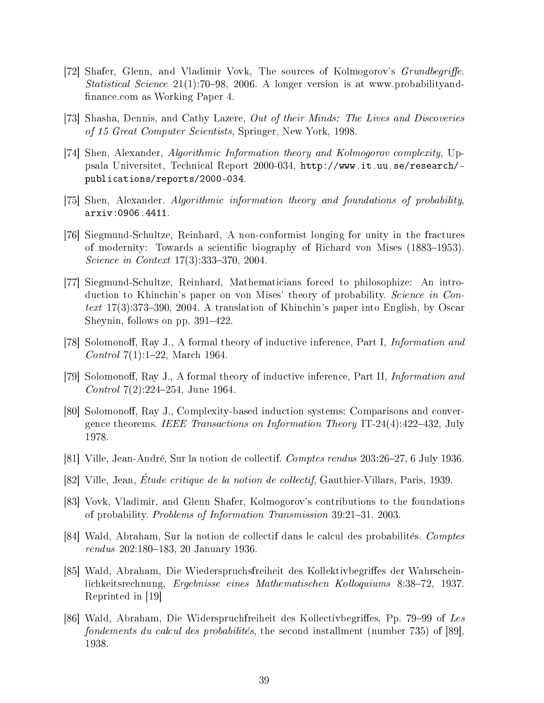- [72] Shafer, Glenn, and Vladimir Vovk, The sources of Kolmogorov's *Grundbegriffe*. Statistical Science  $21(1)$ :70-98, 2006. A longer version is at www.probabilityandfinance.com as Working Paper 4.
- [73] Shasha, Dennis, and Cathy Lazere, Out of their Minds: The Lives and Discoveries of 15 Great Computer Scientists, Springer, New York, 1998.
- [74] Shen, Alexander, Algorithmic Information theory and Kolmogorov complexity, Uppsala Universitet, Technical Report 2000-034, http://www.it.uu.se/research/ publications/reports/2000-034.
- [75] Shen, Alexander. Algorithmic information theory and foundations of probability, arxiv:0906.4411.
- [76] Siegmund-Schultze, Reinhard, A non-conformist longing for unity in the fractures of modernity: Towards a scientific biography of Richard von Mises (1883–1953). Science in Context  $17(3)$ :333-370, 2004.
- [77] Siegmund-Schultze, Reinhard, Mathematicians forced to philosophize: An introduction to Khinchin's paper on von Mises' theory of probability. Science in Context  $17(3):373-390$ , 2004. A translation of Khinchin's paper into English, by Oscar Sheynin, follows on pp.  $391-422$ .
- [78] Solomonoff, Ray J., A formal theory of inductive inference, Part I, *Information and Control*  $7(1):1-22$ , March 1964.
- [79] Solomonoff, Ray J., A formal theory of inductive inference, Part II, *Information and Control*  $7(2):224-254$ , June 1964.
- [80] Solomonoff, Ray J., Complexity-based induction systems: Comparisons and convergence theorems. IEEE Transactions on Information Theory IT-24(4):422-432, July 1978.
- [81] Ville, Jean-André, Sur la notion de collectif. *Comptes rendus* 203:26–27, 6 July 1936.
- [82] Ville, Jean, Etude critique de la notion de collectif, Gauthier-Villars, Paris, 1939.
- [83] Vovk, Vladimir, and Glenn Shafer, Kolmogorov's contributions to the foundations of probability. Problems of Information Transmission  $39:21-31$ . 2003.
- [84] Wald, Abraham, Sur la notion de collectif dans le calcul des probabilités. Comptes  $rendus$  202:180-183, 20 January 1936.
- [85] Wald, Abraham, Die Wiederspruchsfreiheit des Kollektivbegriffes der Wahrscheinlichkeitsrechnung, Ergebnisse eines Mathematischen Kolloquiums 8:38-72, 1937. Reprinted in [19]
- [86] Wald, Abraham, Die Widerspruchfreiheit des Kollectivbegriffes, Pp. 79–99 of Les fondements du calcul des probabilités, the second installment (number 735) of [89]. 1938.